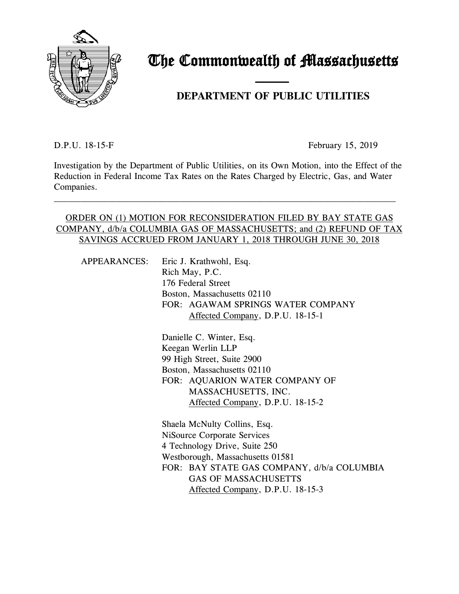

# The Commonwealth of Massachusetts

## and the contract of the contract of **DEPARTMENT OF PUBLIC UTILITIES**

D.P.U. 18-15-F February 15, 2019

Investigation by the Department of Public Utilities, on its Own Motion, into the Effect of the Reduction in Federal Income Tax Rates on the Rates Charged by Electric, Gas, and Water Companies.

\_\_\_\_\_\_\_\_\_\_\_\_\_\_\_\_\_\_\_\_\_\_\_\_\_\_\_\_\_\_\_\_\_\_\_\_\_\_\_\_\_\_\_\_\_\_\_\_\_\_\_\_\_\_\_\_\_\_\_\_\_\_\_\_\_\_\_\_\_\_\_\_\_\_\_\_

#### ORDER ON (1) MOTION FOR RECONSIDERATION FILED BY BAY STATE GAS COMPANY, d/b/a COLUMBIA GAS OF MASSACHUSETTS; and (2) REFUND OF TAX SAVINGS ACCRUED FROM JANUARY 1, 2018 THROUGH JUNE 30, 2018

|  | APPEARANCES: Eric J. Krathwohl, Esq.<br>Rich May, P.C.                                                        |  |  |  |  |
|--|---------------------------------------------------------------------------------------------------------------|--|--|--|--|
|  | 176 Federal Street                                                                                            |  |  |  |  |
|  | Boston, Massachusetts 02110                                                                                   |  |  |  |  |
|  | FOR: AGAWAM SPRINGS WATER COMPANY                                                                             |  |  |  |  |
|  | Affected Company, D.P.U. 18-15-1                                                                              |  |  |  |  |
|  | Danielle C. Winter, Esq.                                                                                      |  |  |  |  |
|  | Keegan Werlin LLP                                                                                             |  |  |  |  |
|  | 99 High Street, Suite 2900                                                                                    |  |  |  |  |
|  | Boston, Massachusetts 02110                                                                                   |  |  |  |  |
|  | FOR: AQUARION WATER COMPANY OF                                                                                |  |  |  |  |
|  | MASSACHUSETTS, INC.                                                                                           |  |  |  |  |
|  | Affected Company, D.P.U. 18-15-2                                                                              |  |  |  |  |
|  | Shaela McNulty Collins, Esq.                                                                                  |  |  |  |  |
|  | <b>NiSource Corporate Services</b>                                                                            |  |  |  |  |
|  | 4 Technology Drive, Suite 250                                                                                 |  |  |  |  |
|  | Westborough, Massachusetts 01581                                                                              |  |  |  |  |
|  | FOR: BAY STATE GAS COMPANY, d/b/a COLUMBIA<br><b>GAS OF MASSACHUSETTS</b><br>Affected Company, D.P.U. 18-15-3 |  |  |  |  |
|  |                                                                                                               |  |  |  |  |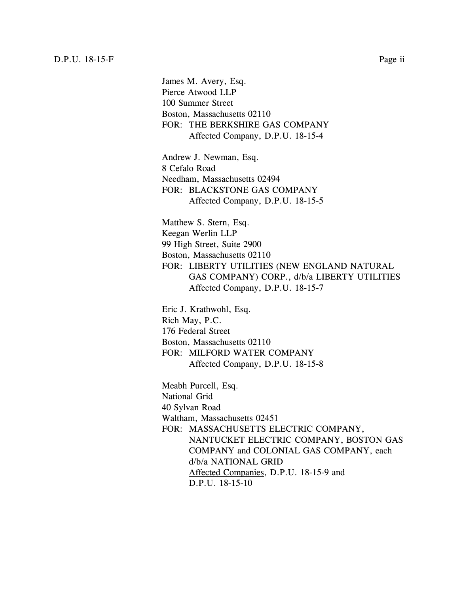James M. Avery, Esq. Pierce Atwood LLP 100 Summer Street Boston, Massachusetts 02110 FOR: THE BERKSHIRE GAS COMPANY Affected Company, D.P.U. 18-15-4

Andrew J. Newman, Esq. 8 Cefalo Road Needham, Massachusetts 02494 FOR: BLACKSTONE GAS COMPANY Affected Company, D.P.U. 18-15-5

Matthew S. Stern, Esq. Keegan Werlin LLP 99 High Street, Suite 2900 Boston, Massachusetts 02110 FOR: LIBERTY UTILITIES (NEW ENGLAND NATURAL GAS COMPANY) CORP., d/b/a LIBERTY UTILITIES Affected Company, D.P.U. 18-15-7

Eric J. Krathwohl, Esq. Rich May, P.C. 176 Federal Street Boston, Massachusetts 02110 FOR: MILFORD WATER COMPANY Affected Company, D.P.U. 18-15-8

Meabh Purcell, Esq. National Grid 40 Sylvan Road Waltham, Massachusetts 02451 FOR: MASSACHUSETTS ELECTRIC COMPANY, NANTUCKET ELECTRIC COMPANY, BOSTON GAS COMPANY and COLONIAL GAS COMPANY, each d/b/a NATIONAL GRID Affected Companies, D.P.U. 18-15-9 and D.P.U. 18-15-10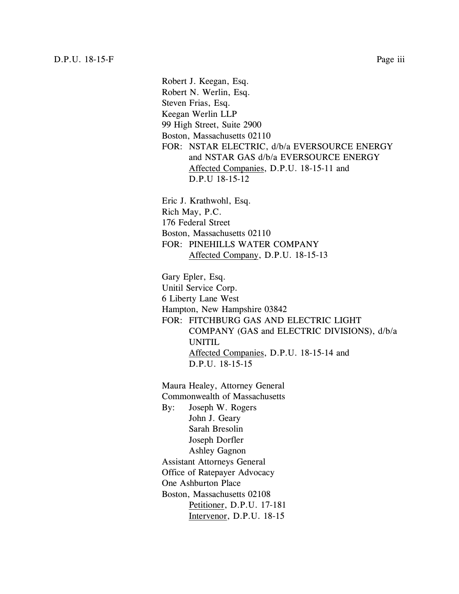Robert J. Keegan, Esq. Robert N. Werlin, Esq. Steven Frias, Esq. Keegan Werlin LLP 99 High Street, Suite 2900 Boston, Massachusetts 02110 FOR: NSTAR ELECTRIC, d/b/a EVERSOURCE ENERGY and NSTAR GAS d/b/a EVERSOURCE ENERGY Affected Companies, D.P.U. 18-15-11 and D.P.U 18-15-12 Eric J. Krathwohl, Esq. Rich May, P.C. 176 Federal Street Boston, Massachusetts 02110 FOR: PINEHILLS WATER COMPANY Affected Company, D.P.U. 18-15-13 Gary Epler, Esq. Unitil Service Corp. 6 Liberty Lane West Hampton, New Hampshire 03842 FOR: FITCHBURG GAS AND ELECTRIC LIGHT COMPANY (GAS and ELECTRIC DIVISIONS), d/b/a UNITIL Affected Companies, D.P.U. 18-15-14 and D.P.U. 18-15-15 Maura Healey, Attorney General Commonwealth of Massachusetts By: Joseph W. Rogers John J. Geary Sarah Bresolin Joseph Dorfler Ashley Gagnon Assistant Attorneys General Office of Ratepayer Advocacy One Ashburton Place Boston, Massachusetts 02108 Petitioner, D.P.U. 17-181

Intervenor, D.P.U. 18-15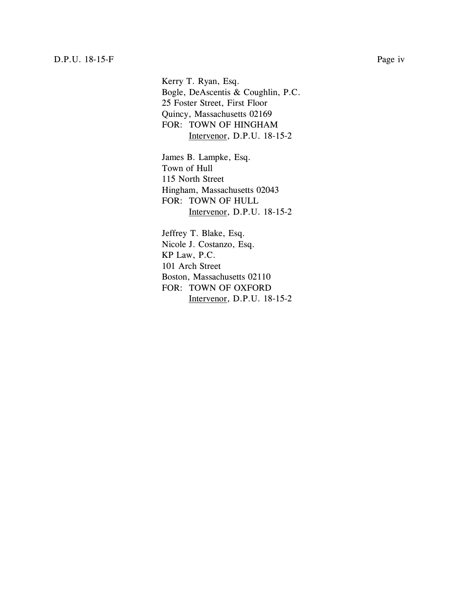Kerry T. Ryan, Esq. Bogle, DeAscentis & Coughlin, P.C. 25 Foster Street, First Floor Quincy, Massachusetts 02169 FOR: TOWN OF HINGHAM Intervenor, D.P.U. 18-15-2

James B. Lampke, Esq. Town of Hull 115 North Street Hingham, Massachusetts 02043 FOR: TOWN OF HULL Intervenor, D.P.U. 18-15-2

Jeffrey T. Blake, Esq. Nicole J. Costanzo, Esq. KP Law, P.C. 101 Arch Street Boston, Massachusetts 02110 FOR: TOWN OF OXFORD Intervenor, D.P.U. 18-15-2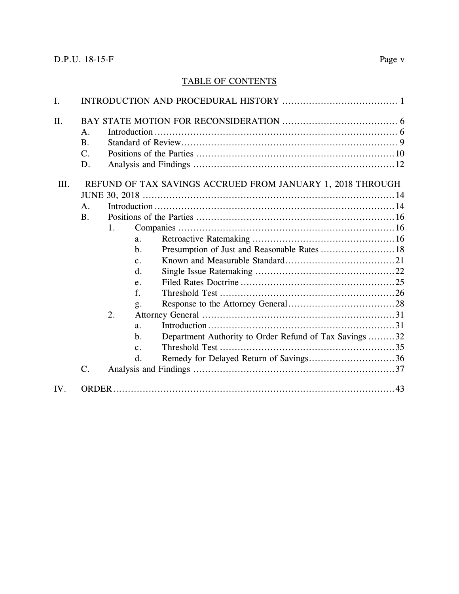### TABLE OF CONTENTS

| I.   |                |    |                |                                                            |  |  |  |
|------|----------------|----|----------------|------------------------------------------------------------|--|--|--|
| Π.   |                |    |                |                                                            |  |  |  |
|      | A <sub>1</sub> |    |                |                                                            |  |  |  |
|      | <b>B.</b>      |    |                |                                                            |  |  |  |
|      | $C$ .          |    |                |                                                            |  |  |  |
|      | D.             |    |                |                                                            |  |  |  |
| III. |                |    |                | REFUND OF TAX SAVINGS ACCRUED FROM JANUARY 1, 2018 THROUGH |  |  |  |
|      |                |    |                |                                                            |  |  |  |
|      | A.             |    |                |                                                            |  |  |  |
|      | <b>B.</b>      |    |                |                                                            |  |  |  |
|      |                | 1. |                |                                                            |  |  |  |
|      |                |    | a <sub>1</sub> |                                                            |  |  |  |
|      |                |    | $b$ .          | Presumption of Just and Reasonable Rates  18               |  |  |  |
|      |                |    | $\mathbf{c}$ . |                                                            |  |  |  |
|      |                |    | d.             |                                                            |  |  |  |
|      |                |    | e.             |                                                            |  |  |  |
|      |                |    | f.             |                                                            |  |  |  |
|      |                |    | g.             |                                                            |  |  |  |
|      |                | 2. |                |                                                            |  |  |  |
|      |                |    | a.             |                                                            |  |  |  |
|      |                |    | $\mathbf b$ .  | Department Authority to Order Refund of Tax Savings 32     |  |  |  |
|      |                |    | $\mathbf{c}$ . |                                                            |  |  |  |
|      |                |    | $\mathbf{d}$ . | Remedy for Delayed Return of Savings36                     |  |  |  |
|      | $\mathbf{C}$ . |    |                |                                                            |  |  |  |
| IV.  |                |    |                |                                                            |  |  |  |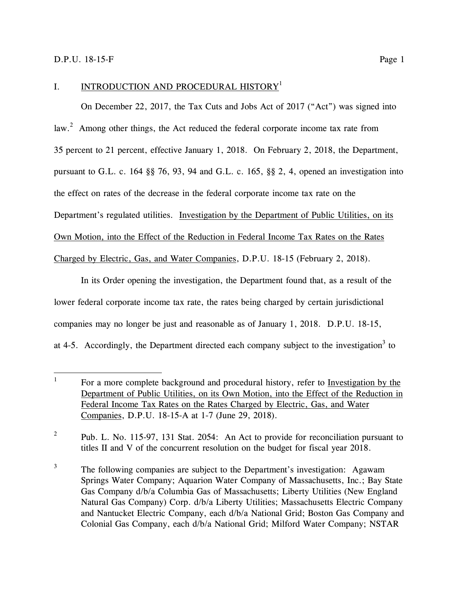$\overline{a}$ 

#### <span id="page-5-0"></span>I. INTRODUCTION AND PROCEDURAL HISTORY<sup>1</sup>

On December 22, 2017, the Tax Cuts and Jobs Act of 2017 ("Act") was signed into law.<sup>2</sup> Among other things, the Act reduced the federal corporate income tax rate from 35 percent to 21 percent, effective January 1, 2018. On February 2, 2018, the Department, pursuant to G.L. c. 164 §§ 76, 93, 94 and G.L. c. 165, §§ 2, 4, opened an investigation into the effect on rates of the decrease in the federal corporate income tax rate on the Department's regulated utilities. Investigation by the Department of Public Utilities, on its Own Motion, into the Effect of the Reduction in Federal Income Tax Rates on the Rates Charged by Electric, Gas, and Water Companies, D.P.U. 18-15 (February 2, 2018).

In its Order opening the investigation, the Department found that, as a result of the lower federal corporate income tax rate, the rates being charged by certain jurisdictional companies may no longer be just and reasonable as of January 1, 2018. D.P.U. 18-15, at 4-5. Accordingly, the Department directed each company subject to the investigation<sup>3</sup> to

2 Pub. L. No. 115-97, 131 Stat. 2054: An Act to provide for reconciliation pursuant to titles II and V of the concurrent resolution on the budget for fiscal year 2018.

<sup>3</sup> The following companies are subject to the Department's investigation: Agawam Springs Water Company; Aquarion Water Company of Massachusetts, Inc.; Bay State Gas Company d/b/a Columbia Gas of Massachusetts; Liberty Utilities (New England Natural Gas Company) Corp. d/b/a Liberty Utilities; Massachusetts Electric Company and Nantucket Electric Company, each d/b/a National Grid; Boston Gas Company and Colonial Gas Company, each d/b/a National Grid; Milford Water Company; NSTAR

<sup>1</sup> For a more complete background and procedural history, refer to Investigation by the Department of Public Utilities, on its Own Motion, into the Effect of the Reduction in Federal Income Tax Rates on the Rates Charged by Electric, Gas, and Water Companies, D.P.U. 18-15-A at 1-7 (June 29, 2018).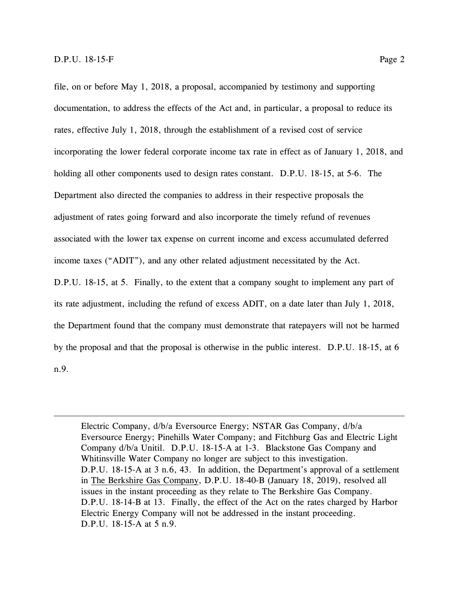$\overline{a}$ 

file, on or before May 1, 2018, a proposal, accompanied by testimony and supporting documentation, to address the effects of the Act and, in particular, a proposal to reduce its rates, effective July 1, 2018, through the establishment of a revised cost of service incorporating the lower federal corporate income tax rate in effect as of January 1, 2018, and holding all other components used to design rates constant. D.P.U. 18-15, at 5-6. The Department also directed the companies to address in their respective proposals the adjustment of rates going forward and also incorporate the timely refund of revenues associated with the lower tax expense on current income and excess accumulated deferred income taxes ("ADIT"), and any other related adjustment necessitated by the Act.

D.P.U. 18-15, at 5. Finally, to the extent that a company sought to implement any part of its rate adjustment, including the refund of excess ADIT, on a date later than July 1, 2018, the Department found that the company must demonstrate that ratepayers will not be harmed by the proposal and that the proposal is otherwise in the public interest. D.P.U. 18-15, at 6 n.9.

Electric Company, d/b/a Eversource Energy; NSTAR Gas Company, d/b/a Eversource Energy; Pinehills Water Company; and Fitchburg Gas and Electric Light Company d/b/a Unitil. D.P.U. 18-15-A at 1-3. Blackstone Gas Company and Whitinsville Water Company no longer are subject to this investigation. D.P.U. 18-15-A at 3 n.6, 43. In addition, the Department's approval of a settlement in The Berkshire Gas Company, D.P.U. 18-40-B (January 18, 2019), resolved all issues in the instant proceeding as they relate to The Berkshire Gas Company. D.P.U. 18-14-B at 13. Finally, the effect of the Act on the rates charged by Harbor Electric Energy Company will not be addressed in the instant proceeding. D.P.U. 18-15-A at 5 n.9.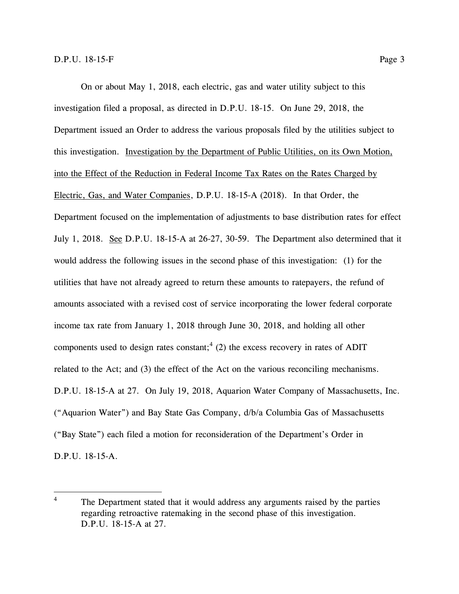On or about May 1, 2018, each electric, gas and water utility subject to this investigation filed a proposal, as directed in D.P.U. 18-15. On June 29, 2018, the Department issued an Order to address the various proposals filed by the utilities subject to this investigation. Investigation by the Department of Public Utilities, on its Own Motion, into the Effect of the Reduction in Federal Income Tax Rates on the Rates Charged by Electric, Gas, and Water Companies, D.P.U. 18-15-A (2018). In that Order, the Department focused on the implementation of adjustments to base distribution rates for effect July 1, 2018. See D.P.U. 18-15-A at 26-27, 30-59. The Department also determined that it would address the following issues in the second phase of this investigation: (1) for the utilities that have not already agreed to return these amounts to ratepayers, the refund of amounts associated with a revised cost of service incorporating the lower federal corporate income tax rate from January 1, 2018 through June 30, 2018, and holding all other components used to design rates constant;<sup>4</sup> (2) the excess recovery in rates of ADIT related to the Act; and (3) the effect of the Act on the various reconciling mechanisms. D.P.U. 18-15-A at 27. On July 19, 2018, Aquarion Water Company of Massachusetts, Inc. ("Aquarion Water") and Bay State Gas Company, d/b/a Columbia Gas of Massachusetts ("Bay State") each filed a motion for reconsideration of the Department's Order in

D.P.U. 18-15-A.

 $\overline{4}$ The Department stated that it would address any arguments raised by the parties regarding retroactive ratemaking in the second phase of this investigation. D.P.U. 18-15-A at 27.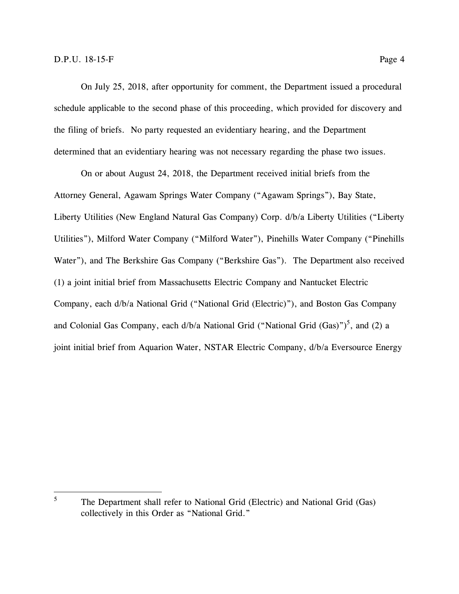On July 25, 2018, after opportunity for comment, the Department issued a procedural schedule applicable to the second phase of this proceeding, which provided for discovery and the filing of briefs. No party requested an evidentiary hearing, and the Department determined that an evidentiary hearing was not necessary regarding the phase two issues.

On or about August 24, 2018, the Department received initial briefs from the Attorney General, Agawam Springs Water Company ("Agawam Springs"), Bay State, Liberty Utilities (New England Natural Gas Company) Corp. d/b/a Liberty Utilities ("Liberty Utilities"), Milford Water Company ("Milford Water"), Pinehills Water Company ("Pinehills Water"), and The Berkshire Gas Company ("Berkshire Gas"). The Department also received (1) a joint initial brief from Massachusetts Electric Company and Nantucket Electric Company, each d/b/a National Grid ("National Grid (Electric)"), and Boston Gas Company and Colonial Gas Company, each d/b/a National Grid ("National Grid  $(Gas)$ ")<sup>5</sup>, and (2) a joint initial brief from Aquarion Water, NSTAR Electric Company, d/b/a Eversource Energy

<sup>5</sup> The Department shall refer to National Grid (Electric) and National Grid (Gas) collectively in this Order as "National Grid."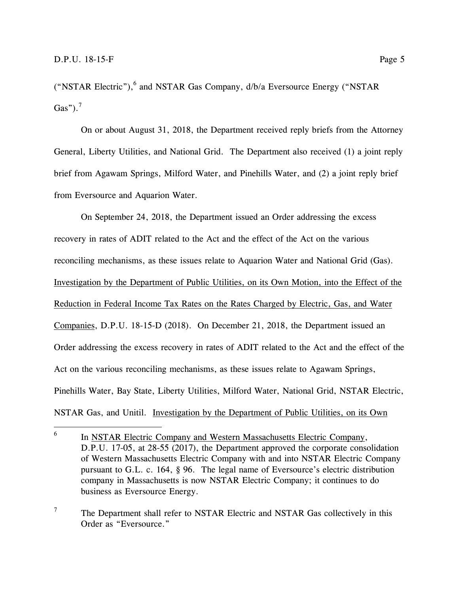$\overline{a}$ 

("NSTAR Electric"),<sup>6</sup> and NSTAR Gas Company, d/b/a Eversource Energy ("NSTAR Gas"). $<sup>7</sup>$ </sup>

On or about August 31, 2018, the Department received reply briefs from the Attorney General, Liberty Utilities, and National Grid. The Department also received (1) a joint reply brief from Agawam Springs, Milford Water, and Pinehills Water, and (2) a joint reply brief from Eversource and Aquarion Water.

On September 24, 2018, the Department issued an Order addressing the excess recovery in rates of ADIT related to the Act and the effect of the Act on the various reconciling mechanisms, as these issues relate to Aquarion Water and National Grid (Gas). Investigation by the Department of Public Utilities, on its Own Motion, into the Effect of the Reduction in Federal Income Tax Rates on the Rates Charged by Electric, Gas, and Water Companies, D.P.U. 18-15-D (2018). On December 21, 2018, the Department issued an Order addressing the excess recovery in rates of ADIT related to the Act and the effect of the Act on the various reconciling mechanisms, as these issues relate to Agawam Springs, Pinehills Water, Bay State, Liberty Utilities, Milford Water, National Grid, NSTAR Electric, NSTAR Gas, and Unitil. Investigation by the Department of Public Utilities, on its Own

 $7$  The Department shall refer to NSTAR Electric and NSTAR Gas collectively in this Order as "Eversource."

<sup>6</sup> In NSTAR Electric Company and Western Massachusetts Electric Company, D.P.U. 17-05, at 28-55 (2017), the Department approved the corporate consolidation of Western Massachusetts Electric Company with and into NSTAR Electric Company pursuant to G.L. c. 164, § 96. The legal name of Eversource's electric distribution company in Massachusetts is now NSTAR Electric Company; it continues to do business as Eversource Energy.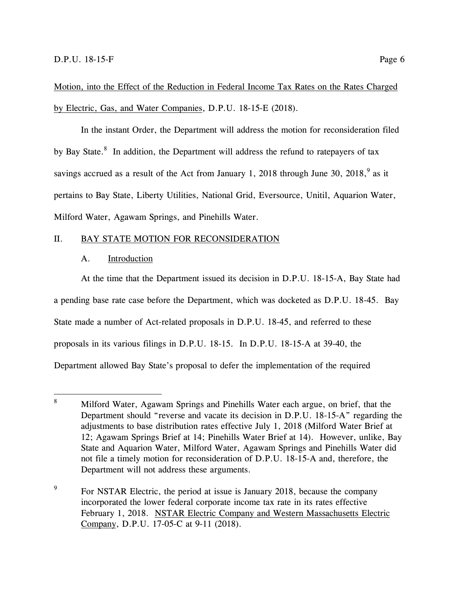Motion, into the Effect of the Reduction in Federal Income Tax Rates on the Rates Charged by Electric, Gas, and Water Companies, D.P.U. 18-15-E (2018).

In the instant Order, the Department will address the motion for reconsideration filed by Bay State. $8\,$  In addition, the Department will address the refund to ratepayers of tax savings accrued as a result of the Act from January 1, 2018 through June 30, 2018,  $9^{\circ}$  as it pertains to Bay State, Liberty Utilities, National Grid, Eversource, Unitil, Aquarion Water, Milford Water, Agawam Springs, and Pinehills Water.

#### <span id="page-10-1"></span><span id="page-10-0"></span>II. BAY STATE MOTION FOR RECONSIDERATION

#### A. Introduction

At the time that the Department issued its decision in D.P.U. 18-15-A, Bay State had a pending base rate case before the Department, which was docketed as D.P.U. 18-45. Bay State made a number of Act-related proposals in D.P.U. 18-45, and referred to these proposals in its various filings in D.P.U. 18-15. In D.P.U. 18-15-A at 39-40, the Department allowed Bay State's proposal to defer the implementation of the required

 $8\,$ Milford Water, Agawam Springs and Pinehills Water each argue, on brief, that the Department should "reverse and vacate its decision in D.P.U. 18-15-A" regarding the adjustments to base distribution rates effective July 1, 2018 (Milford Water Brief at 12; Agawam Springs Brief at 14; Pinehills Water Brief at 14). However, unlike, Bay State and Aquarion Water, Milford Water, Agawam Springs and Pinehills Water did not file a timely motion for reconsideration of D.P.U. 18-15-A and, therefore, the Department will not address these arguments.

<sup>9</sup> For NSTAR Electric, the period at issue is January 2018, because the company incorporated the lower federal corporate income tax rate in its rates effective February 1, 2018. NSTAR Electric Company and Western Massachusetts Electric Company, D.P.U. 17-05-C at 9-11 (2018).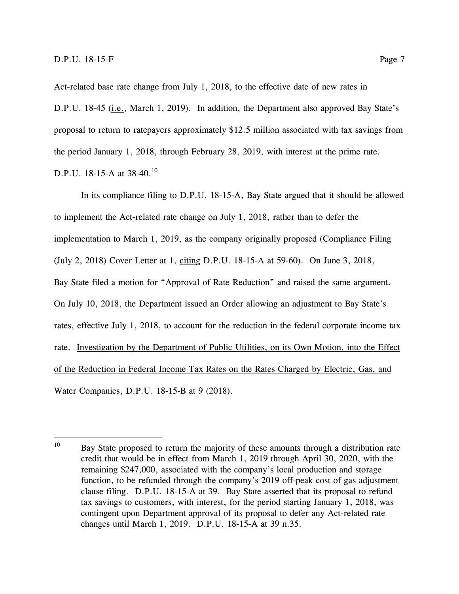Act-related base rate change from July 1, 2018, to the effective date of new rates in D.P.U. 18-45 (*i.e.*, March 1, 2019). In addition, the Department also approved Bay State's proposal to return to ratepayers approximately \$12.5 million associated with tax savings from the period January 1, 2018, through February 28, 2019, with interest at the prime rate. D.P.U. 18-15-A at 38-40.<sup>10</sup>

In its compliance filing to D.P.U. 18-15-A, Bay State argued that it should be allowed to implement the Act-related rate change on July 1, 2018, rather than to defer the implementation to March 1, 2019, as the company originally proposed (Compliance Filing (July 2, 2018) Cover Letter at 1, citing D.P.U. 18-15-A at 59-60). On June 3, 2018, Bay State filed a motion for "Approval of Rate Reduction" and raised the same argument. On July 10, 2018, the Department issued an Order allowing an adjustment to Bay State's rates, effective July 1, 2018, to account for the reduction in the federal corporate income tax rate. Investigation by the Department of Public Utilities, on its Own Motion, into the Effect of the Reduction in Federal Income Tax Rates on the Rates Charged by Electric, Gas, and Water Companies, D.P.U. 18-15-B at 9 (2018).

<sup>10</sup> Bay State proposed to return the majority of these amounts through a distribution rate credit that would be in effect from March 1, 2019 through April 30, 2020, with the remaining \$247,000, associated with the company's local production and storage function, to be refunded through the company's 2019 off-peak cost of gas adjustment clause filing. D.P.U. 18-15-A at 39. Bay State asserted that its proposal to refund tax savings to customers, with interest, for the period starting January 1, 2018, was contingent upon Department approval of its proposal to defer any Act-related rate changes until March 1, 2019. D.P.U. 18-15-A at 39 n.35.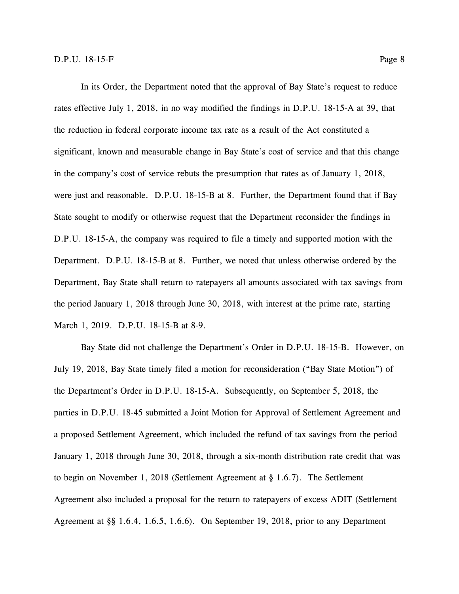In its Order, the Department noted that the approval of Bay State's request to reduce rates effective July 1, 2018, in no way modified the findings in D.P.U. 18-15-A at 39, that the reduction in federal corporate income tax rate as a result of the Act constituted a significant, known and measurable change in Bay State's cost of service and that this change in the company's cost of service rebuts the presumption that rates as of January 1, 2018, were just and reasonable. D.P.U. 18-15-B at 8. Further, the Department found that if Bay State sought to modify or otherwise request that the Department reconsider the findings in D.P.U. 18-15-A, the company was required to file a timely and supported motion with the Department. D.P.U. 18-15-B at 8. Further, we noted that unless otherwise ordered by the Department, Bay State shall return to ratepayers all amounts associated with tax savings from the period January 1, 2018 through June 30, 2018, with interest at the prime rate, starting March 1, 2019. D.P.U. 18-15-B at 8-9.

Bay State did not challenge the Department's Order in D.P.U. 18-15-B. However, on July 19, 2018, Bay State timely filed a motion for reconsideration ("Bay State Motion") of the Department's Order in D.P.U. 18-15-A. Subsequently, on September 5, 2018, the parties in D.P.U. 18-45 submitted a Joint Motion for Approval of Settlement Agreement and a proposed Settlement Agreement, which included the refund of tax savings from the period January 1, 2018 through June 30, 2018, through a six-month distribution rate credit that was to begin on November 1, 2018 (Settlement Agreement at § 1.6.7). The Settlement Agreement also included a proposal for the return to ratepayers of excess ADIT (Settlement Agreement at §§ 1.6.4, 1.6.5, 1.6.6). On September 19, 2018, prior to any Department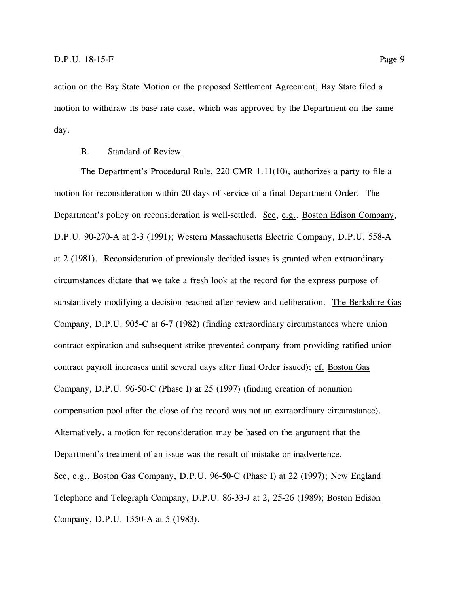action on the Bay State Motion or the proposed Settlement Agreement, Bay State filed a motion to withdraw its base rate case, which was approved by the Department on the same day.

#### B. Standard of Review

<span id="page-13-0"></span>The Department's Procedural Rule, 220 CMR 1.11(10), authorizes a party to file a motion for reconsideration within 20 days of service of a final Department Order. The Department's policy on reconsideration is well-settled. See, e.g., Boston Edison Company, D.P.U. 90-270-A at 2-3 (1991); Western Massachusetts Electric Company, D.P.U. 558-A at 2 (1981). Reconsideration of previously decided issues is granted when extraordinary circumstances dictate that we take a fresh look at the record for the express purpose of substantively modifying a decision reached after review and deliberation. The Berkshire Gas Company, D.P.U. 905-C at 6-7 (1982) (finding extraordinary circumstances where union contract expiration and subsequent strike prevented company from providing ratified union contract payroll increases until several days after final Order issued); cf. Boston Gas Company, D.P.U. 96-50-C (Phase I) at 25 (1997) (finding creation of nonunion compensation pool after the close of the record was not an extraordinary circumstance). Alternatively, a motion for reconsideration may be based on the argument that the Department's treatment of an issue was the result of mistake or inadvertence. See, e.g., Boston Gas Company, D.P.U. 96-50-C (Phase I) at 22 (1997); New England Telephone and Telegraph Company, D.P.U. 86-33-J at 2, 25-26 (1989); Boston Edison Company, D.P.U. 1350-A at 5 (1983).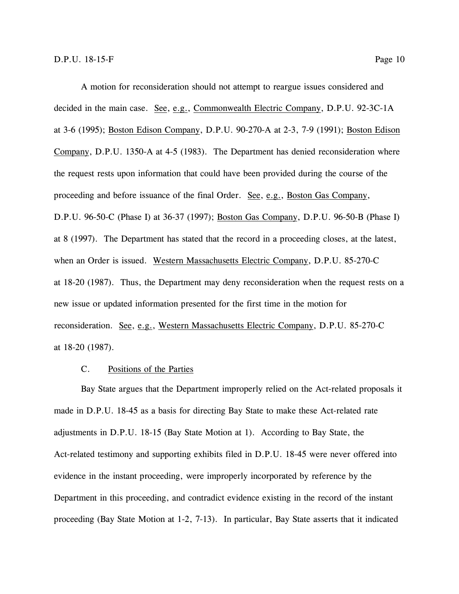A motion for reconsideration should not attempt to reargue issues considered and decided in the main case. See, e.g., Commonwealth Electric Company, D.P.U. 92-3C-1A at 3-6 (1995); Boston Edison Company, D.P.U. 90-270-A at 2-3, 7-9 (1991); Boston Edison Company, D.P.U. 1350-A at 4-5 (1983). The Department has denied reconsideration where the request rests upon information that could have been provided during the course of the proceeding and before issuance of the final Order. See, e.g., Boston Gas Company, D.P.U. 96-50-C (Phase I) at 36-37 (1997); Boston Gas Company, D.P.U. 96-50-B (Phase I) at 8 (1997). The Department has stated that the record in a proceeding closes, at the latest, when an Order is issued. Western Massachusetts Electric Company, D.P.U. 85-270-C at 18-20 (1987). Thus, the Department may deny reconsideration when the request rests on a new issue or updated information presented for the first time in the motion for reconsideration. See, e.g., Western Massachusetts Electric Company, D.P.U. 85-270-C at 18-20 (1987).

#### C. Positions of the Parties

<span id="page-14-0"></span>Bay State argues that the Department improperly relied on the Act-related proposals it made in D.P.U. 18-45 as a basis for directing Bay State to make these Act-related rate adjustments in D.P.U. 18-15 (Bay State Motion at 1). According to Bay State, the Act-related testimony and supporting exhibits filed in D.P.U. 18-45 were never offered into evidence in the instant proceeding, were improperly incorporated by reference by the Department in this proceeding, and contradict evidence existing in the record of the instant proceeding (Bay State Motion at 1-2, 7-13). In particular, Bay State asserts that it indicated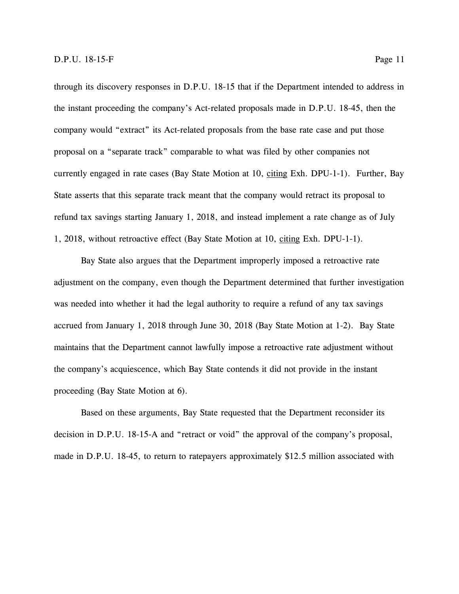through its discovery responses in D.P.U. 18-15 that if the Department intended to address in the instant proceeding the company's Act-related proposals made in D.P.U. 18-45, then the company would "extract" its Act-related proposals from the base rate case and put those proposal on a "separate track" comparable to what was filed by other companies not currently engaged in rate cases (Bay State Motion at 10, citing Exh. DPU-1-1). Further, Bay State asserts that this separate track meant that the company would retract its proposal to refund tax savings starting January 1, 2018, and instead implement a rate change as of July 1, 2018, without retroactive effect (Bay State Motion at 10, citing Exh. DPU-1-1).

Bay State also argues that the Department improperly imposed a retroactive rate adjustment on the company, even though the Department determined that further investigation was needed into whether it had the legal authority to require a refund of any tax savings accrued from January 1, 2018 through June 30, 2018 (Bay State Motion at 1-2). Bay State maintains that the Department cannot lawfully impose a retroactive rate adjustment without the company's acquiescence, which Bay State contends it did not provide in the instant proceeding (Bay State Motion at 6).

Based on these arguments, Bay State requested that the Department reconsider its decision in D.P.U. 18-15-A and "retract or void" the approval of the company's proposal, made in D.P.U. 18-45, to return to ratepayers approximately \$12.5 million associated with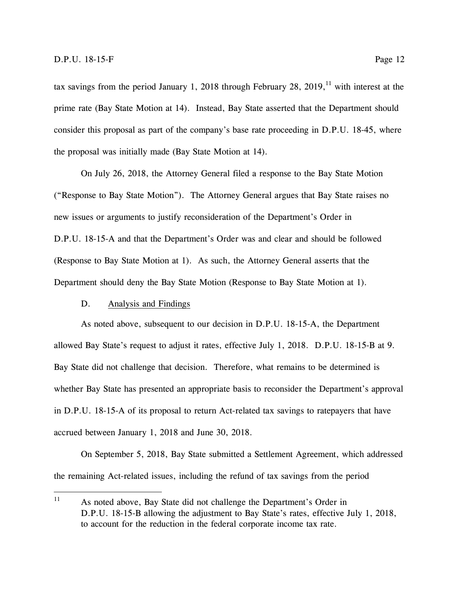tax savings from the period January 1, 2018 through February 28, 2019,<sup>11</sup> with interest at the prime rate (Bay State Motion at 14). Instead, Bay State asserted that the Department should consider this proposal as part of the company's base rate proceeding in D.P.U. 18-45, where the proposal was initially made (Bay State Motion at 14).

On July 26, 2018, the Attorney General filed a response to the Bay State Motion ("Response to Bay State Motion"). The Attorney General argues that Bay State raises no new issues or arguments to justify reconsideration of the Department's Order in D.P.U. 18-15-A and that the Department's Order was and clear and should be followed (Response to Bay State Motion at 1). As such, the Attorney General asserts that the Department should deny the Bay State Motion (Response to Bay State Motion at 1).

#### D. Analysis and Findings

<span id="page-16-0"></span>As noted above, subsequent to our decision in D.P.U. 18-15-A, the Department allowed Bay State's request to adjust it rates, effective July 1, 2018. D.P.U. 18-15-B at 9. Bay State did not challenge that decision. Therefore, what remains to be determined is whether Bay State has presented an appropriate basis to reconsider the Department's approval in D.P.U. 18-15-A of its proposal to return Act-related tax savings to ratepayers that have accrued between January 1, 2018 and June 30, 2018.

On September 5, 2018, Bay State submitted a Settlement Agreement, which addressed the remaining Act-related issues, including the refund of tax savings from the period

 $11$ As noted above, Bay State did not challenge the Department's Order in D.P.U. 18-15-B allowing the adjustment to Bay State's rates, effective July 1, 2018, to account for the reduction in the federal corporate income tax rate.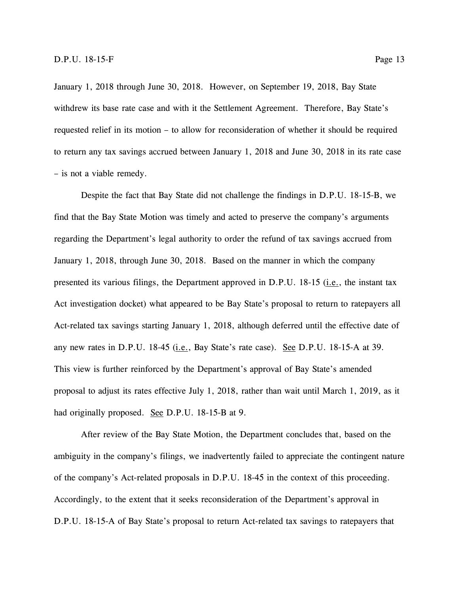January 1, 2018 through June 30, 2018. However, on September 19, 2018, Bay State withdrew its base rate case and with it the Settlement Agreement. Therefore, Bay State's requested relief in its motion – to allow for reconsideration of whether it should be required to return any tax savings accrued between January 1, 2018 and June 30, 2018 in its rate case – is not a viable remedy.

Despite the fact that Bay State did not challenge the findings in D.P.U. 18-15-B, we find that the Bay State Motion was timely and acted to preserve the company's arguments regarding the Department's legal authority to order the refund of tax savings accrued from January 1, 2018, through June 30, 2018. Based on the manner in which the company presented its various filings, the Department approved in D.P.U. 18-15 (*i.e.*, the instant tax Act investigation docket) what appeared to be Bay State's proposal to return to ratepayers all Act-related tax savings starting January 1, 2018, although deferred until the effective date of any new rates in D.P.U. 18-45 (i.e., Bay State's rate case). See D.P.U. 18-15-A at 39. This view is further reinforced by the Department's approval of Bay State's amended proposal to adjust its rates effective July 1, 2018, rather than wait until March 1, 2019, as it had originally proposed. See D.P.U. 18-15-B at 9.

After review of the Bay State Motion, the Department concludes that, based on the ambiguity in the company's filings, we inadvertently failed to appreciate the contingent nature of the company's Act-related proposals in D.P.U. 18-45 in the context of this proceeding. Accordingly, to the extent that it seeks reconsideration of the Department's approval in D.P.U. 18-15-A of Bay State's proposal to return Act-related tax savings to ratepayers that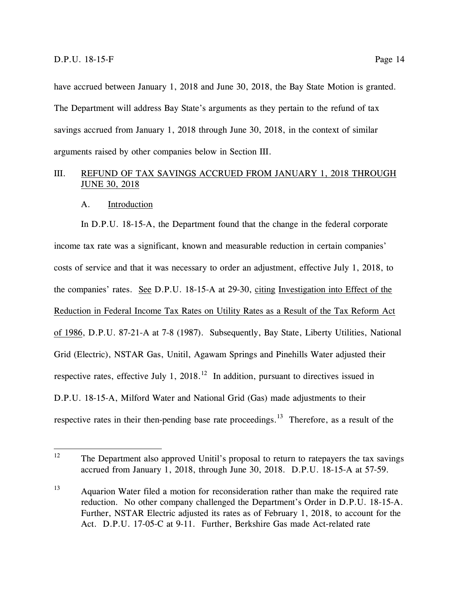have accrued between January 1, 2018 and June 30, 2018, the Bay State Motion is granted. The Department will address Bay State's arguments as they pertain to the refund of tax savings accrued from January 1, 2018 through June 30, 2018, in the context of similar arguments raised by other companies below in Section III.

#### <span id="page-18-0"></span>III. REFUND OF TAX SAVINGS ACCRUED FROM JANUARY 1, 2018 THROUGH JUNE 30, 2018

#### A. Introduction

<span id="page-18-1"></span>In D.P.U. 18-15-A, the Department found that the change in the federal corporate income tax rate was a significant, known and measurable reduction in certain companies' costs of service and that it was necessary to order an adjustment, effective July 1, 2018, to the companies' rates. See D.P.U. 18-15-A at 29-30, citing Investigation into Effect of the Reduction in Federal Income Tax Rates on Utility Rates as a Result of the Tax Reform Act of 1986, D.P.U. 87-21-A at 7-8 (1987). Subsequently, Bay State, Liberty Utilities, National Grid (Electric), NSTAR Gas, Unitil, Agawam Springs and Pinehills Water adjusted their respective rates, effective July 1, 2018.<sup>12</sup> In addition, pursuant to directives issued in D.P.U. 18-15-A, Milford Water and National Grid (Gas) made adjustments to their respective rates in their then-pending base rate proceedings.<sup>13</sup> Therefore, as a result of the

<sup>12</sup> The Department also approved Unitil's proposal to return to ratepayers the tax savings accrued from January 1, 2018, through June 30, 2018. D.P.U. 18-15-A at 57-59.

<sup>&</sup>lt;sup>13</sup> Aquarion Water filed a motion for reconsideration rather than make the required rate reduction. No other company challenged the Department's Order in D.P.U. 18-15-A. Further, NSTAR Electric adjusted its rates as of February 1, 2018, to account for the Act. D.P.U. 17-05-C at 9-11. Further, Berkshire Gas made Act-related rate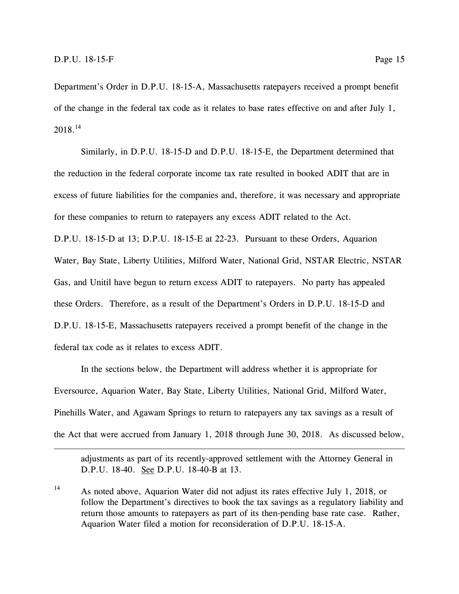$\overline{a}$ 

Department's Order in D.P.U. 18-15-A, Massachusetts ratepayers received a prompt benefit of the change in the federal tax code as it relates to base rates effective on and after July 1,  $2018.^{14}$ 

Similarly, in D.P.U. 18-15-D and D.P.U. 18-15-E, the Department determined that the reduction in the federal corporate income tax rate resulted in booked ADIT that are in excess of future liabilities for the companies and, therefore, it was necessary and appropriate for these companies to return to ratepayers any excess ADIT related to the Act.

D.P.U. 18-15-D at 13; D.P.U. 18-15-E at 22-23. Pursuant to these Orders, Aquarion Water, Bay State, Liberty Utilities, Milford Water, National Grid, NSTAR Electric, NSTAR Gas, and Unitil have begun to return excess ADIT to ratepayers. No party has appealed these Orders. Therefore, as a result of the Department's Orders in D.P.U. 18-15-D and D.P.U. 18-15-E, Massachusetts ratepayers received a prompt benefit of the change in the federal tax code as it relates to excess ADIT.

In the sections below, the Department will address whether it is appropriate for Eversource, Aquarion Water, Bay State, Liberty Utilities, National Grid, Milford Water, Pinehills Water, and Agawam Springs to return to ratepayers any tax savings as a result of the Act that were accrued from January 1, 2018 through June 30, 2018. As discussed below,

adjustments as part of its recently-approved settlement with the Attorney General in D.P.U. 18-40. See D.P.U. 18-40-B at 13.

<sup>14</sup> As noted above, Aquarion Water did not adjust its rates effective July 1, 2018, or follow the Department's directives to book the tax savings as a regulatory liability and return those amounts to ratepayers as part of its then-pending base rate case. Rather, Aquarion Water filed a motion for reconsideration of D.P.U. 18-15-A.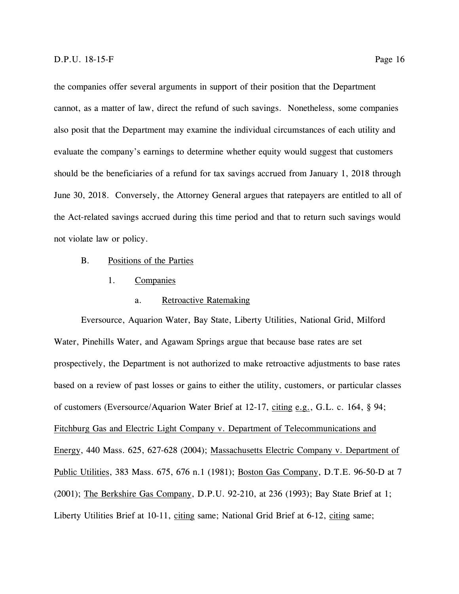the companies offer several arguments in support of their position that the Department cannot, as a matter of law, direct the refund of such savings. Nonetheless, some companies also posit that the Department may examine the individual circumstances of each utility and evaluate the company's earnings to determine whether equity would suggest that customers should be the beneficiaries of a refund for tax savings accrued from January 1, 2018 through June 30, 2018. Conversely, the Attorney General argues that ratepayers are entitled to all of the Act-related savings accrued during this time period and that to return such savings would not violate law or policy.

- <span id="page-20-1"></span><span id="page-20-0"></span>B. Positions of the Parties
	- 1. Companies

#### a. Retroactive Ratemaking

<span id="page-20-2"></span>Eversource, Aquarion Water, Bay State, Liberty Utilities, National Grid, Milford Water, Pinehills Water, and Agawam Springs argue that because base rates are set prospectively, the Department is not authorized to make retroactive adjustments to base rates based on a review of past losses or gains to either the utility, customers, or particular classes of customers (Eversource/Aquarion Water Brief at 12-17, citing e.g., G.L. c. 164, § 94; Fitchburg Gas and Electric Light Company v. Department of Telecommunications and Energy, 440 Mass. 625, 627-628 (2004); Massachusetts Electric Company v. Department of Public Utilities, 383 Mass. 675, 676 n.1 (1981); Boston Gas Company, D.T.E. 96-50-D at 7 (2001); The Berkshire Gas Company, D.P.U. 92-210, at 236 (1993); Bay State Brief at 1; Liberty Utilities Brief at 10-11, citing same; National Grid Brief at 6-12, citing same;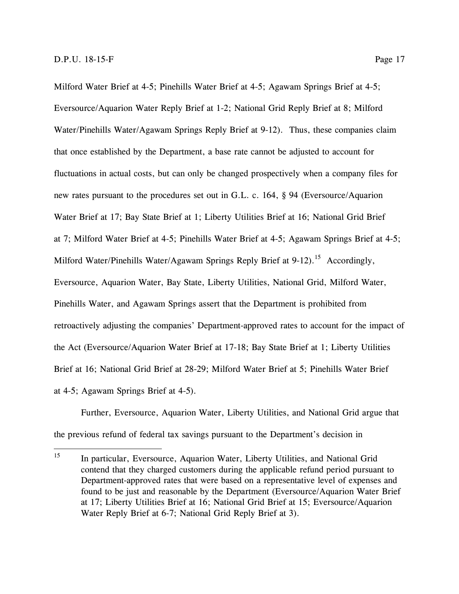Milford Water Brief at 4-5; Pinehills Water Brief at 4-5; Agawam Springs Brief at 4-5; Eversource/Aquarion Water Reply Brief at 1-2; National Grid Reply Brief at 8; Milford Water/Pinehills Water/Agawam Springs Reply Brief at 9-12). Thus, these companies claim that once established by the Department, a base rate cannot be adjusted to account for fluctuations in actual costs, but can only be changed prospectively when a company files for new rates pursuant to the procedures set out in G.L. c. 164, § 94 (Eversource/Aquarion Water Brief at 17; Bay State Brief at 1; Liberty Utilities Brief at 16; National Grid Brief at 7; Milford Water Brief at 4-5; Pinehills Water Brief at 4-5; Agawam Springs Brief at 4-5; Milford Water/Pinehills Water/Agawam Springs Reply Brief at 9-12).<sup>15</sup> Accordingly, Eversource, Aquarion Water, Bay State, Liberty Utilities, National Grid, Milford Water, Pinehills Water, and Agawam Springs assert that the Department is prohibited from retroactively adjusting the companies' Department-approved rates to account for the impact of the Act (Eversource/Aquarion Water Brief at 17-18; Bay State Brief at 1; Liberty Utilities Brief at 16; National Grid Brief at 28-29; Milford Water Brief at 5; Pinehills Water Brief

at 4-5; Agawam Springs Brief at 4-5).

Further, Eversource, Aquarion Water, Liberty Utilities, and National Grid argue that the previous refund of federal tax savings pursuant to the Department's decision in

<sup>15</sup> In particular, Eversource, Aquarion Water, Liberty Utilities, and National Grid contend that they charged customers during the applicable refund period pursuant to Department-approved rates that were based on a representative level of expenses and found to be just and reasonable by the Department (Eversource/Aquarion Water Brief at 17; Liberty Utilities Brief at 16; National Grid Brief at 15; Eversource/Aquarion Water Reply Brief at 6-7; National Grid Reply Brief at 3).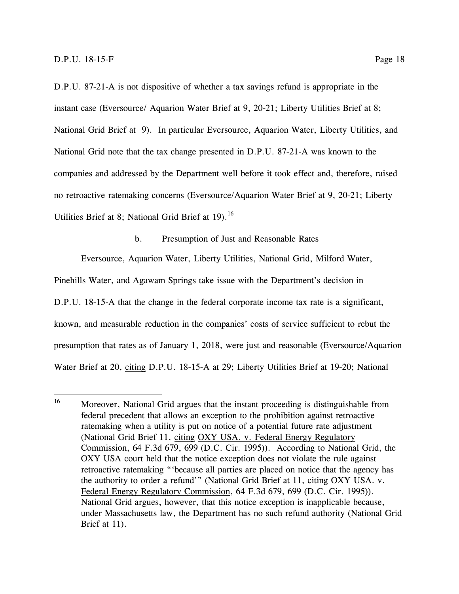D.P.U. 87-21-A is not dispositive of whether a tax savings refund is appropriate in the instant case (Eversource/ Aquarion Water Brief at 9, 20-21; Liberty Utilities Brief at 8; National Grid Brief at 9). In particular Eversource, Aquarion Water, Liberty Utilities, and National Grid note that the tax change presented in D.P.U. 87-21-A was known to the companies and addressed by the Department well before it took effect and, therefore, raised no retroactive ratemaking concerns (Eversource/Aquarion Water Brief at 9, 20-21; Liberty Utilities Brief at 8; National Grid Brief at  $19$ ).<sup>16</sup>

#### b. Presumption of Just and Reasonable Rates

<span id="page-22-0"></span>Eversource, Aquarion Water, Liberty Utilities, National Grid, Milford Water,

Pinehills Water, and Agawam Springs take issue with the Department's decision in D.P.U. 18-15-A that the change in the federal corporate income tax rate is a significant, known, and measurable reduction in the companies' costs of service sufficient to rebut the presumption that rates as of January 1, 2018, were just and reasonable (Eversource/Aquarion Water Brief at 20, citing D.P.U. 18-15-A at 29; Liberty Utilities Brief at 19-20; National

<sup>16</sup> Moreover, National Grid argues that the instant proceeding is distinguishable from federal precedent that allows an exception to the prohibition against retroactive ratemaking when a utility is put on notice of a potential future rate adjustment (National Grid Brief 11, citing OXY USA. v. Federal Energy Regulatory Commission, 64 F.3d 679, 699 (D.C. Cir. 1995)). According to National Grid, the OXY USA court held that the notice exception does not violate the rule against retroactive ratemaking "'because all parties are placed on notice that the agency has the authority to order a refund'" (National Grid Brief at 11, citing OXY USA. v. Federal Energy Regulatory Commission, 64 F.3d 679, 699 (D.C. Cir. 1995)). National Grid argues, however, that this notice exception is inapplicable because, under Massachusetts law, the Department has no such refund authority (National Grid Brief at 11).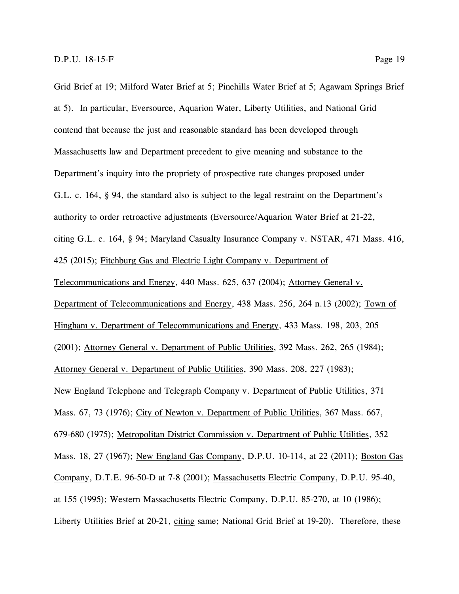Grid Brief at 19; Milford Water Brief at 5; Pinehills Water Brief at 5; Agawam Springs Brief at 5). In particular, Eversource, Aquarion Water, Liberty Utilities, and National Grid contend that because the just and reasonable standard has been developed through Massachusetts law and Department precedent to give meaning and substance to the Department's inquiry into the propriety of prospective rate changes proposed under G.L. c. 164, § 94, the standard also is subject to the legal restraint on the Department's authority to order retroactive adjustments (Eversource/Aquarion Water Brief at 21-22, citing G.L. c. 164, § 94; Maryland Casualty Insurance Company v. NSTAR, 471 Mass. 416, 425 (2015); Fitchburg Gas and Electric Light Company v. Department of Telecommunications and Energy, 440 Mass. 625, 637 (2004); Attorney General v. Department of Telecommunications and Energy, 438 Mass. 256, 264 n.13 (2002); Town of Hingham v. Department of Telecommunications and Energy, 433 Mass. 198, 203, 205 (2001); Attorney General v. Department of Public Utilities, 392 Mass. 262, 265 (1984); Attorney General v. Department of Public Utilities, 390 Mass. 208, 227 (1983); New England Telephone and Telegraph Company v. Department of Public Utilities, 371 Mass. 67, 73 (1976); City of Newton v. Department of Public Utilities, 367 Mass. 667, 679-680 (1975); Metropolitan District Commission v. Department of Public Utilities, 352 Mass. 18, 27 (1967); New England Gas Company, D.P.U. 10-114, at 22 (2011); Boston Gas Company, D.T.E. 96-50-D at 7-8 (2001); Massachusetts Electric Company, D.P.U. 95-40, at 155 (1995); Western Massachusetts Electric Company, D.P.U. 85-270, at 10 (1986); Liberty Utilities Brief at 20-21, citing same; National Grid Brief at 19-20). Therefore, these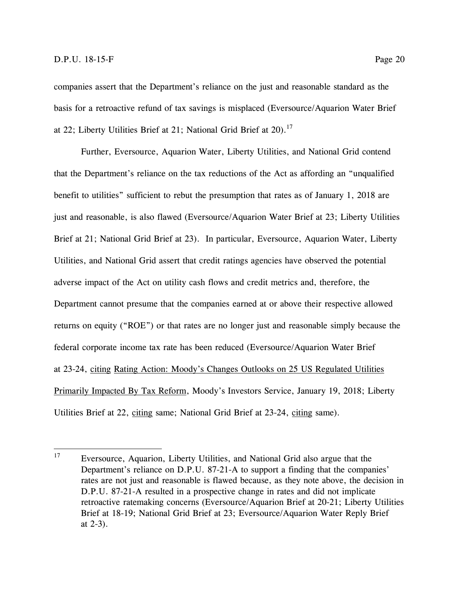companies assert that the Department's reliance on the just and reasonable standard as the basis for a retroactive refund of tax savings is misplaced (Eversource/Aquarion Water Brief at 22; Liberty Utilities Brief at 21; National Grid Brief at 20).<sup>17</sup>

Further, Eversource, Aquarion Water, Liberty Utilities, and National Grid contend that the Department's reliance on the tax reductions of the Act as affording an "unqualified benefit to utilities" sufficient to rebut the presumption that rates as of January 1, 2018 are just and reasonable, is also flawed (Eversource/Aquarion Water Brief at 23; Liberty Utilities Brief at 21; National Grid Brief at 23). In particular, Eversource, Aquarion Water, Liberty Utilities, and National Grid assert that credit ratings agencies have observed the potential adverse impact of the Act on utility cash flows and credit metrics and, therefore, the Department cannot presume that the companies earned at or above their respective allowed returns on equity ("ROE") or that rates are no longer just and reasonable simply because the federal corporate income tax rate has been reduced (Eversource/Aquarion Water Brief at 23-24, citing Rating Action: Moody's Changes Outlooks on 25 US Regulated Utilities Primarily Impacted By Tax Reform, Moody's Investors Service, January 19, 2018; Liberty Utilities Brief at 22, citing same; National Grid Brief at 23-24, citing same).

<sup>17</sup> <sup>17</sup> Eversource, Aquarion, Liberty Utilities, and National Grid also argue that the Department's reliance on D.P.U. 87-21-A to support a finding that the companies' rates are not just and reasonable is flawed because, as they note above, the decision in D.P.U. 87-21-A resulted in a prospective change in rates and did not implicate retroactive ratemaking concerns (Eversource/Aquarion Brief at 20-21; Liberty Utilities Brief at 18-19; National Grid Brief at 23; Eversource/Aquarion Water Reply Brief at 2-3).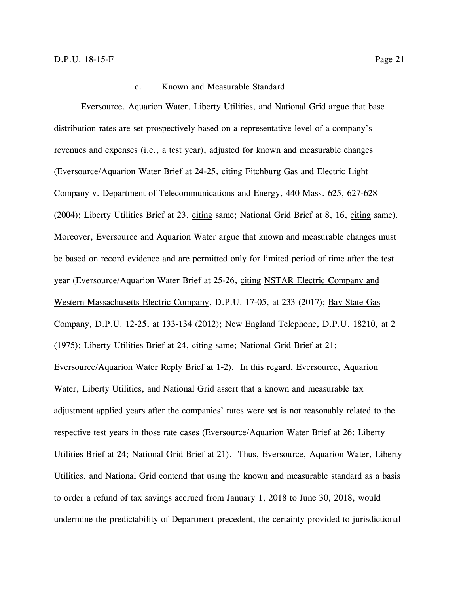#### c. Known and Measurable Standard

<span id="page-25-0"></span>Eversource, Aquarion Water, Liberty Utilities, and National Grid argue that base distribution rates are set prospectively based on a representative level of a company's revenues and expenses (i.e., a test year), adjusted for known and measurable changes (Eversource/Aquarion Water Brief at 24-25, citing Fitchburg Gas and Electric Light Company v. Department of Telecommunications and Energy, 440 Mass. 625, 627-628 (2004); Liberty Utilities Brief at 23, citing same; National Grid Brief at 8, 16, citing same). Moreover, Eversource and Aquarion Water argue that known and measurable changes must be based on record evidence and are permitted only for limited period of time after the test year (Eversource/Aquarion Water Brief at 25-26, citing NSTAR Electric Company and Western Massachusetts Electric Company, D.P.U. 17-05, at 233 (2017); Bay State Gas Company, D.P.U. 12-25, at 133-134 (2012); New England Telephone, D.P.U. 18210, at 2 (1975); Liberty Utilities Brief at 24, citing same; National Grid Brief at 21; Eversource/Aquarion Water Reply Brief at 1-2). In this regard, Eversource, Aquarion Water, Liberty Utilities, and National Grid assert that a known and measurable tax adjustment applied years after the companies' rates were set is not reasonably related to the respective test years in those rate cases (Eversource/Aquarion Water Brief at 26; Liberty Utilities Brief at 24; National Grid Brief at 21). Thus, Eversource, Aquarion Water, Liberty Utilities, and National Grid contend that using the known and measurable standard as a basis to order a refund of tax savings accrued from January 1, 2018 to June 30, 2018, would undermine the predictability of Department precedent, the certainty provided to jurisdictional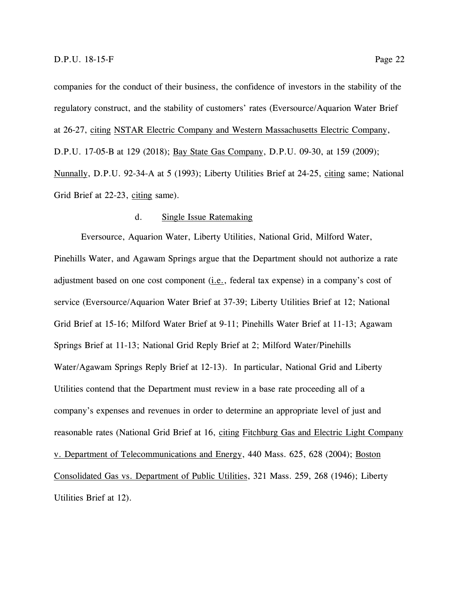companies for the conduct of their business, the confidence of investors in the stability of the regulatory construct, and the stability of customers' rates (Eversource/Aquarion Water Brief at 26-27, citing NSTAR Electric Company and Western Massachusetts Electric Company, D.P.U. 17-05-B at 129 (2018); Bay State Gas Company, D.P.U. 09-30, at 159 (2009); Nunnally, D.P.U. 92-34-A at 5 (1993); Liberty Utilities Brief at 24-25, citing same; National Grid Brief at 22-23, citing same).

#### d. Single Issue Ratemaking

<span id="page-26-0"></span>Eversource, Aquarion Water, Liberty Utilities, National Grid, Milford Water, Pinehills Water, and Agawam Springs argue that the Department should not authorize a rate adjustment based on one cost component  $(i.e.,$  federal tax expense) in a company's cost of service (Eversource/Aquarion Water Brief at 37-39; Liberty Utilities Brief at 12; National Grid Brief at 15-16; Milford Water Brief at 9-11; Pinehills Water Brief at 11-13; Agawam Springs Brief at 11-13; National Grid Reply Brief at 2; Milford Water/Pinehills Water/Agawam Springs Reply Brief at 12-13). In particular, National Grid and Liberty Utilities contend that the Department must review in a base rate proceeding all of a company's expenses and revenues in order to determine an appropriate level of just and reasonable rates (National Grid Brief at 16, citing Fitchburg Gas and Electric Light Company v. Department of Telecommunications and Energy, 440 Mass. 625, 628 (2004); Boston Consolidated Gas vs. Department of Public Utilities, 321 Mass. 259, 268 (1946); Liberty Utilities Brief at 12).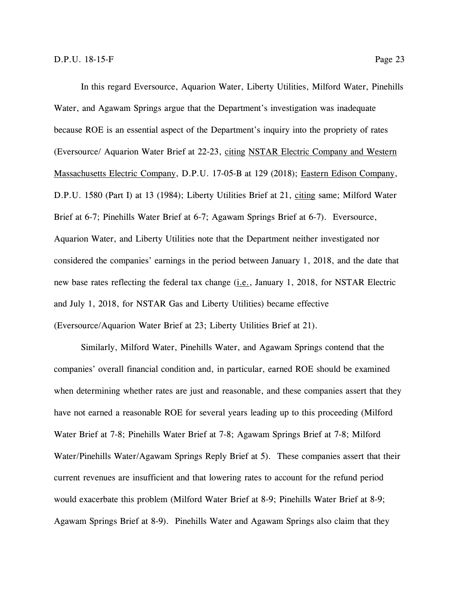In this regard Eversource, Aquarion Water, Liberty Utilities, Milford Water, Pinehills Water, and Agawam Springs argue that the Department's investigation was inadequate because ROE is an essential aspect of the Department's inquiry into the propriety of rates (Eversource/ Aquarion Water Brief at 22-23, citing NSTAR Electric Company and Western Massachusetts Electric Company, D.P.U. 17-05-B at 129 (2018); Eastern Edison Company, D.P.U. 1580 (Part I) at 13 (1984); Liberty Utilities Brief at 21, citing same; Milford Water Brief at 6-7; Pinehills Water Brief at 6-7; Agawam Springs Brief at 6-7). Eversource, Aquarion Water, and Liberty Utilities note that the Department neither investigated nor considered the companies' earnings in the period between January 1, 2018, and the date that new base rates reflecting the federal tax change (*i.e.*, January 1, 2018, for NSTAR Electric and July 1, 2018, for NSTAR Gas and Liberty Utilities) became effective (Eversource/Aquarion Water Brief at 23; Liberty Utilities Brief at 21).

Similarly, Milford Water, Pinehills Water, and Agawam Springs contend that the companies' overall financial condition and, in particular, earned ROE should be examined when determining whether rates are just and reasonable, and these companies assert that they have not earned a reasonable ROE for several years leading up to this proceeding (Milford Water Brief at 7-8; Pinehills Water Brief at 7-8; Agawam Springs Brief at 7-8; Milford Water/Pinehills Water/Agawam Springs Reply Brief at 5). These companies assert that their current revenues are insufficient and that lowering rates to account for the refund period would exacerbate this problem (Milford Water Brief at 8-9; Pinehills Water Brief at 8-9; Agawam Springs Brief at 8-9). Pinehills Water and Agawam Springs also claim that they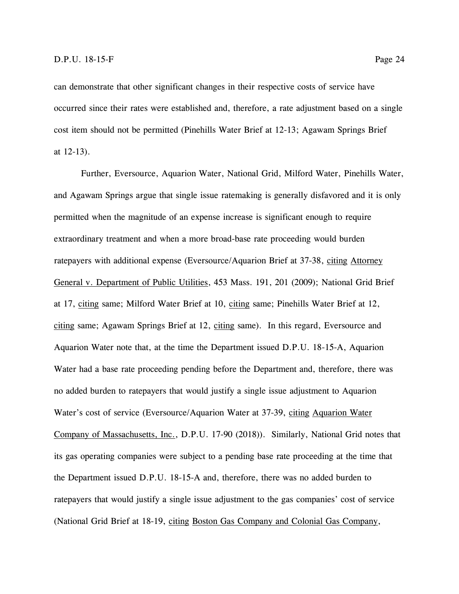can demonstrate that other significant changes in their respective costs of service have occurred since their rates were established and, therefore, a rate adjustment based on a single cost item should not be permitted (Pinehills Water Brief at 12-13; Agawam Springs Brief at 12-13).

Further, Eversource, Aquarion Water, National Grid, Milford Water, Pinehills Water, and Agawam Springs argue that single issue ratemaking is generally disfavored and it is only permitted when the magnitude of an expense increase is significant enough to require extraordinary treatment and when a more broad-base rate proceeding would burden ratepayers with additional expense (Eversource/Aquarion Brief at 37-38, citing Attorney General v. Department of Public Utilities, 453 Mass. 191, 201 (2009); National Grid Brief at 17, citing same; Milford Water Brief at 10, citing same; Pinehills Water Brief at 12, citing same; Agawam Springs Brief at 12, citing same). In this regard, Eversource and Aquarion Water note that, at the time the Department issued D.P.U. 18-15-A, Aquarion Water had a base rate proceeding pending before the Department and, therefore, there was no added burden to ratepayers that would justify a single issue adjustment to Aquarion Water's cost of service (Eversource/Aquarion Water at 37-39, citing Aquarion Water Company of Massachusetts, Inc., D.P.U. 17-90 (2018)). Similarly, National Grid notes that its gas operating companies were subject to a pending base rate proceeding at the time that the Department issued D.P.U. 18-15-A and, therefore, there was no added burden to ratepayers that would justify a single issue adjustment to the gas companies' cost of service (National Grid Brief at 18-19, citing Boston Gas Company and Colonial Gas Company,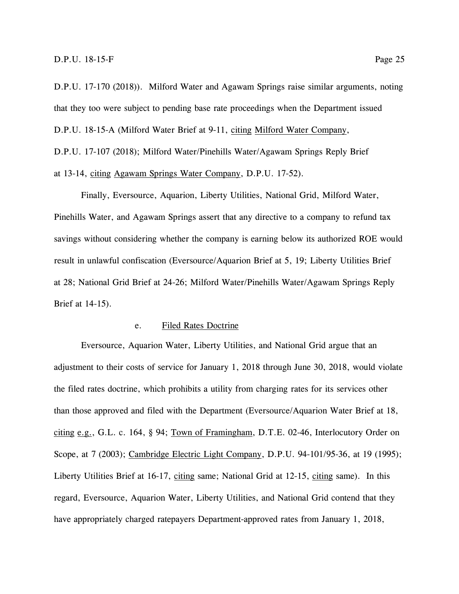D.P.U. 17-170 (2018)). Milford Water and Agawam Springs raise similar arguments, noting that they too were subject to pending base rate proceedings when the Department issued D.P.U. 18-15-A (Milford Water Brief at 9-11, citing Milford Water Company, D.P.U. 17-107 (2018); Milford Water/Pinehills Water/Agawam Springs Reply Brief at 13-14, citing Agawam Springs Water Company, D.P.U. 17-52).

Finally, Eversource, Aquarion, Liberty Utilities, National Grid, Milford Water, Pinehills Water, and Agawam Springs assert that any directive to a company to refund tax savings without considering whether the company is earning below its authorized ROE would result in unlawful confiscation (Eversource/Aquarion Brief at 5, 19; Liberty Utilities Brief at 28; National Grid Brief at 24-26; Milford Water/Pinehills Water/Agawam Springs Reply Brief at 14-15).

#### e. Filed Rates Doctrine

<span id="page-29-0"></span>Eversource, Aquarion Water, Liberty Utilities, and National Grid argue that an adjustment to their costs of service for January 1, 2018 through June 30, 2018, would violate the filed rates doctrine, which prohibits a utility from charging rates for its services other than those approved and filed with the Department (Eversource/Aquarion Water Brief at 18, citing e.g., G.L. c. 164, § 94; Town of Framingham, D.T.E. 02-46, Interlocutory Order on Scope, at 7 (2003); Cambridge Electric Light Company, D.P.U. 94-101/95-36, at 19 (1995); Liberty Utilities Brief at 16-17, citing same; National Grid at 12-15, citing same). In this regard, Eversource, Aquarion Water, Liberty Utilities, and National Grid contend that they have appropriately charged ratepayers Department-approved rates from January 1, 2018,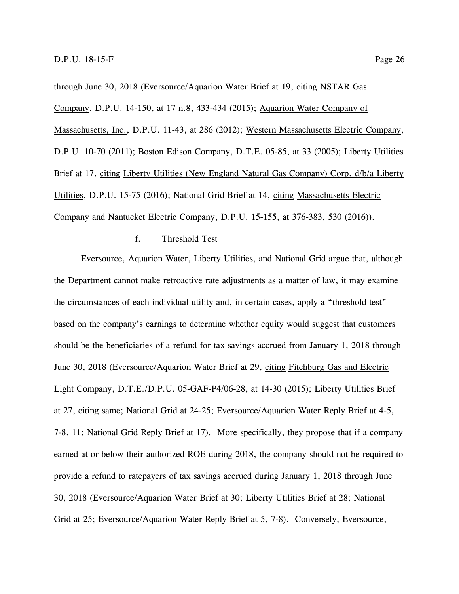through June 30, 2018 (Eversource/Aquarion Water Brief at 19, citing NSTAR Gas Company, D.P.U. 14-150, at 17 n.8, 433-434 (2015); Aquarion Water Company of Massachusetts, Inc., D.P.U. 11-43, at 286 (2012); Western Massachusetts Electric Company, D.P.U. 10-70 (2011); Boston Edison Company, D.T.E. 05-85, at 33 (2005); Liberty Utilities Brief at 17, citing Liberty Utilities (New England Natural Gas Company) Corp. d/b/a Liberty Utilities, D.P.U. 15-75 (2016); National Grid Brief at 14, citing Massachusetts Electric Company and Nantucket Electric Company, D.P.U. 15-155, at 376-383, 530 (2016)).

#### f. Threshold Test

<span id="page-30-0"></span>Eversource, Aquarion Water, Liberty Utilities, and National Grid argue that, although the Department cannot make retroactive rate adjustments as a matter of law, it may examine the circumstances of each individual utility and, in certain cases, apply a "threshold test" based on the company's earnings to determine whether equity would suggest that customers should be the beneficiaries of a refund for tax savings accrued from January 1, 2018 through June 30, 2018 (Eversource/Aquarion Water Brief at 29, citing Fitchburg Gas and Electric Light Company, D.T.E./D.P.U. 05-GAF-P4/06-28, at 14-30 (2015); Liberty Utilities Brief at 27, citing same; National Grid at 24-25; Eversource/Aquarion Water Reply Brief at 4-5, 7-8, 11; National Grid Reply Brief at 17). More specifically, they propose that if a company earned at or below their authorized ROE during 2018, the company should not be required to provide a refund to ratepayers of tax savings accrued during January 1, 2018 through June 30, 2018 (Eversource/Aquarion Water Brief at 30; Liberty Utilities Brief at 28; National Grid at 25; Eversource/Aquarion Water Reply Brief at 5, 7-8). Conversely, Eversource,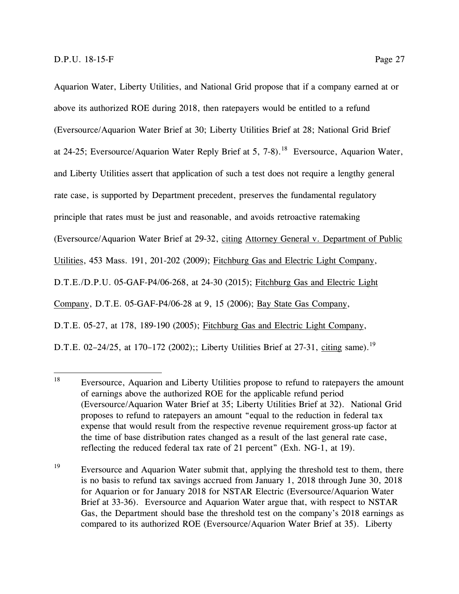Aquarion Water, Liberty Utilities, and National Grid propose that if a company earned at or above its authorized ROE during 2018, then ratepayers would be entitled to a refund (Eversource/Aquarion Water Brief at 30; Liberty Utilities Brief at 28; National Grid Brief at 24-25; Eversource/Aquarion Water Reply Brief at 5, 7-8).<sup>18</sup> Eversource, Aquarion Water, and Liberty Utilities assert that application of such a test does not require a lengthy general rate case, is supported by Department precedent, preserves the fundamental regulatory principle that rates must be just and reasonable, and avoids retroactive ratemaking (Eversource/Aquarion Water Brief at 29-32, citing Attorney General v. Department of Public Utilities, 453 Mass. 191, 201-202 (2009); Fitchburg Gas and Electric Light Company, D.T.E./D.P.U. 05-GAF-P4/06-268, at 24-30 (2015); Fitchburg Gas and Electric Light Company, D.T.E. 05-GAF-P4/06-28 at 9, 15 (2006); Bay State Gas Company, D.T.E. 05-27, at 178, 189-190 (2005); Fitchburg Gas and Electric Light Company, D.T.E. 02-24/25, at 170-172 (2002);; Liberty Utilities Brief at 27-31, citing same).<sup>19</sup>

<sup>18</sup> Eversource, Aquarion and Liberty Utilities propose to refund to ratepayers the amount of earnings above the authorized ROE for the applicable refund period (Eversource/Aquarion Water Brief at 35; Liberty Utilities Brief at 32). National Grid proposes to refund to ratepayers an amount "equal to the reduction in federal tax expense that would result from the respective revenue requirement gross-up factor at the time of base distribution rates changed as a result of the last general rate case, reflecting the reduced federal tax rate of 21 percent" (Exh. NG-1, at 19).

<sup>&</sup>lt;sup>19</sup> Eversource and Aquarion Water submit that, applying the threshold test to them, there is no basis to refund tax savings accrued from January 1, 2018 through June 30, 2018 for Aquarion or for January 2018 for NSTAR Electric (Eversource/Aquarion Water Brief at 33-36). Eversource and Aquarion Water argue that, with respect to NSTAR Gas, the Department should base the threshold test on the company's 2018 earnings as compared to its authorized ROE (Eversource/Aquarion Water Brief at 35). Liberty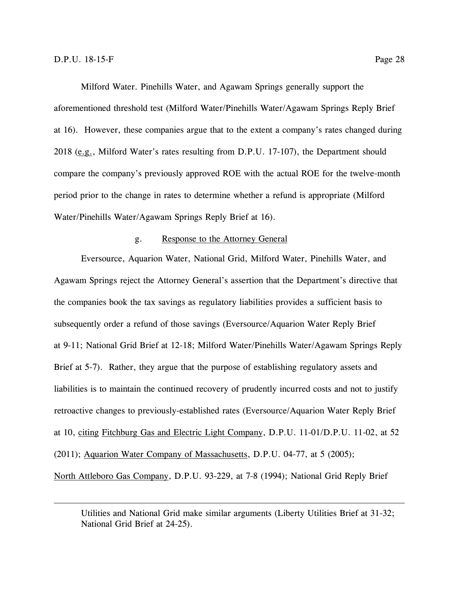$\overline{a}$ 

Milford Water. Pinehills Water, and Agawam Springs generally support the aforementioned threshold test (Milford Water/Pinehills Water/Agawam Springs Reply Brief at 16). However, these companies argue that to the extent a company's rates changed during 2018 (e.g., Milford Water's rates resulting from D.P.U. 17-107), the Department should compare the company's previously approved ROE with the actual ROE for the twelve-month period prior to the change in rates to determine whether a refund is appropriate (Milford Water/Pinehills Water/Agawam Springs Reply Brief at 16).

#### g. Response to the Attorney General

<span id="page-32-0"></span>Eversource, Aquarion Water, National Grid, Milford Water, Pinehills Water, and Agawam Springs reject the Attorney General's assertion that the Department's directive that the companies book the tax savings as regulatory liabilities provides a sufficient basis to subsequently order a refund of those savings (Eversource/Aquarion Water Reply Brief at 9-11; National Grid Brief at 12-18; Milford Water/Pinehills Water/Agawam Springs Reply Brief at 5-7). Rather, they argue that the purpose of establishing regulatory assets and liabilities is to maintain the continued recovery of prudently incurred costs and not to justify retroactive changes to previously-established rates (Eversource/Aquarion Water Reply Brief at 10, citing Fitchburg Gas and Electric Light Company, D.P.U. 11-01/D.P.U. 11-02, at 52 (2011); Aquarion Water Company of Massachusetts, D.P.U. 04-77, at 5 (2005); North Attleboro Gas Company, D.P.U. 93-229, at 7-8 (1994); National Grid Reply Brief

Utilities and National Grid make similar arguments (Liberty Utilities Brief at 31-32; National Grid Brief at 24-25).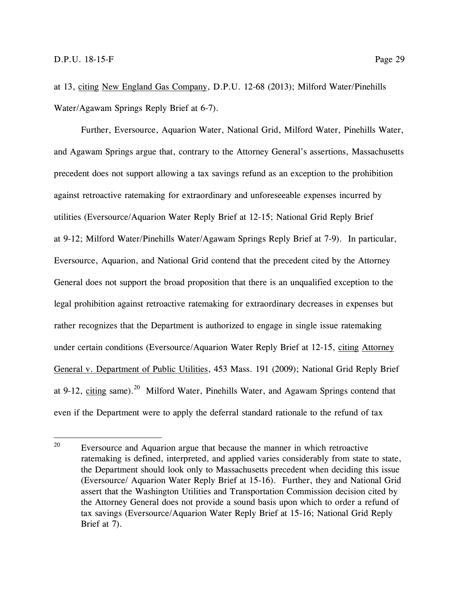at 13, citing New England Gas Company, D.P.U. 12-68 (2013); Milford Water/Pinehills Water/Agawam Springs Reply Brief at 6-7).

Further, Eversource, Aquarion Water, National Grid, Milford Water, Pinehills Water, and Agawam Springs argue that, contrary to the Attorney General's assertions, Massachusetts precedent does not support allowing a tax savings refund as an exception to the prohibition against retroactive ratemaking for extraordinary and unforeseeable expenses incurred by utilities (Eversource/Aquarion Water Reply Brief at 12-15; National Grid Reply Brief at 9-12; Milford Water/Pinehills Water/Agawam Springs Reply Brief at 7-9). In particular, Eversource, Aquarion, and National Grid contend that the precedent cited by the Attorney General does not support the broad proposition that there is an unqualified exception to the legal prohibition against retroactive ratemaking for extraordinary decreases in expenses but rather recognizes that the Department is authorized to engage in single issue ratemaking under certain conditions (Eversource/Aquarion Water Reply Brief at 12-15, citing Attorney General v. Department of Public Utilities, 453 Mass. 191 (2009); National Grid Reply Brief at 9-12, citing same).<sup>20</sup> Milford Water, Pinehills Water, and Agawam Springs contend that even if the Department were to apply the deferral standard rationale to the refund of tax

<sup>20</sup> Eversource and Aquarion argue that because the manner in which retroactive ratemaking is defined, interpreted, and applied varies considerably from state to state, the Department should look only to Massachusetts precedent when deciding this issue (Eversource/ Aquarion Water Reply Brief at 15-16). Further, they and National Grid assert that the Washington Utilities and Transportation Commission decision cited by the Attorney General does not provide a sound basis upon which to order a refund of tax savings (Eversource/Aquarion Water Reply Brief at 15-16; National Grid Reply Brief at 7).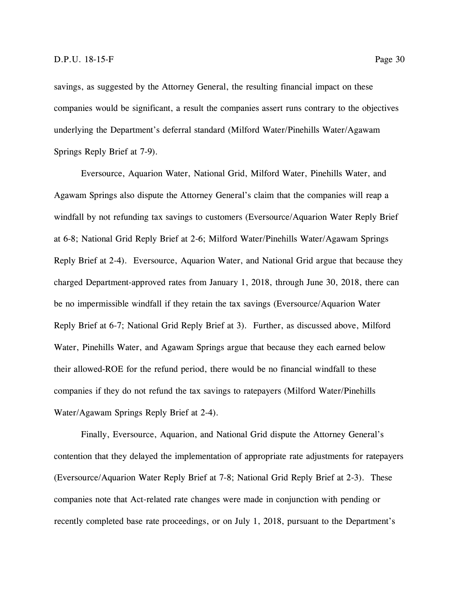savings, as suggested by the Attorney General, the resulting financial impact on these companies would be significant, a result the companies assert runs contrary to the objectives underlying the Department's deferral standard (Milford Water/Pinehills Water/Agawam Springs Reply Brief at 7-9).

Eversource, Aquarion Water, National Grid, Milford Water, Pinehills Water, and Agawam Springs also dispute the Attorney General's claim that the companies will reap a windfall by not refunding tax savings to customers (Eversource/Aquarion Water Reply Brief at 6-8; National Grid Reply Brief at 2-6; Milford Water/Pinehills Water/Agawam Springs Reply Brief at 2-4). Eversource, Aquarion Water, and National Grid argue that because they charged Department-approved rates from January 1, 2018, through June 30, 2018, there can be no impermissible windfall if they retain the tax savings (Eversource/Aquarion Water Reply Brief at 6-7; National Grid Reply Brief at 3). Further, as discussed above, Milford Water, Pinehills Water, and Agawam Springs argue that because they each earned below their allowed-ROE for the refund period, there would be no financial windfall to these companies if they do not refund the tax savings to ratepayers (Milford Water/Pinehills Water/Agawam Springs Reply Brief at 2-4).

Finally, Eversource, Aquarion, and National Grid dispute the Attorney General's contention that they delayed the implementation of appropriate rate adjustments for ratepayers (Eversource/Aquarion Water Reply Brief at 7-8; National Grid Reply Brief at 2-3). These companies note that Act-related rate changes were made in conjunction with pending or recently completed base rate proceedings, or on July 1, 2018, pursuant to the Department's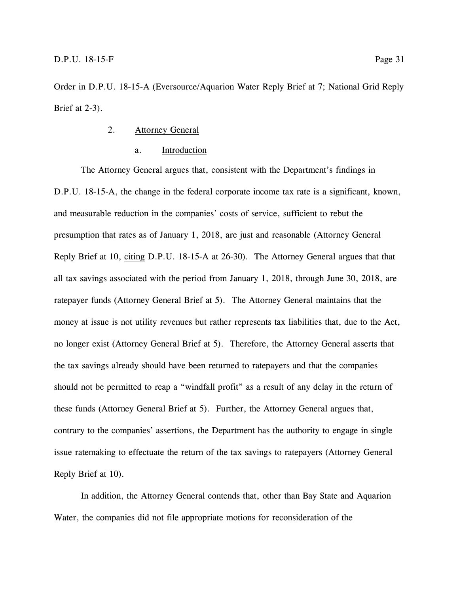<span id="page-35-0"></span>Order in D.P.U. 18-15-A (Eversource/Aquarion Water Reply Brief at 7; National Grid Reply Brief at 2-3).

- 2. Attorney General
	- a. Introduction

<span id="page-35-1"></span>The Attorney General argues that, consistent with the Department's findings in D.P.U. 18-15-A, the change in the federal corporate income tax rate is a significant, known, and measurable reduction in the companies' costs of service, sufficient to rebut the presumption that rates as of January 1, 2018, are just and reasonable (Attorney General Reply Brief at 10, citing D.P.U. 18-15-A at 26-30). The Attorney General argues that that all tax savings associated with the period from January 1, 2018, through June 30, 2018, are ratepayer funds (Attorney General Brief at 5). The Attorney General maintains that the money at issue is not utility revenues but rather represents tax liabilities that, due to the Act, no longer exist (Attorney General Brief at 5). Therefore, the Attorney General asserts that the tax savings already should have been returned to ratepayers and that the companies should not be permitted to reap a "windfall profit" as a result of any delay in the return of these funds (Attorney General Brief at 5). Further, the Attorney General argues that, contrary to the companies' assertions, the Department has the authority to engage in single issue ratemaking to effectuate the return of the tax savings to ratepayers (Attorney General Reply Brief at 10).

In addition, the Attorney General contends that, other than Bay State and Aquarion Water, the companies did not file appropriate motions for reconsideration of the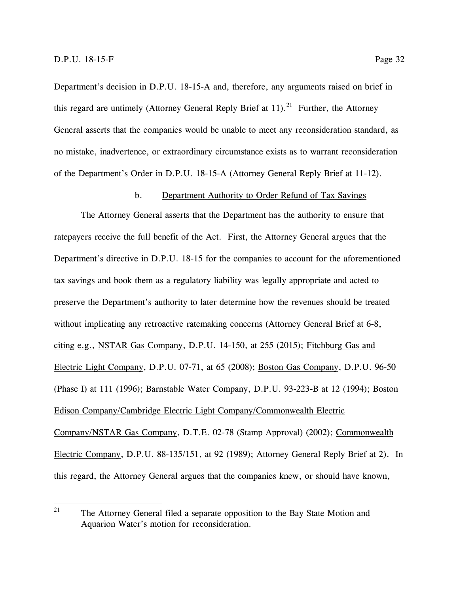Department's decision in D.P.U. 18-15-A and, therefore, any arguments raised on brief in this regard are untimely (Attorney General Reply Brief at  $11$ ).<sup>21</sup> Further, the Attorney General asserts that the companies would be unable to meet any reconsideration standard, as no mistake, inadvertence, or extraordinary circumstance exists as to warrant reconsideration of the Department's Order in D.P.U. 18-15-A (Attorney General Reply Brief at 11-12).

#### b. Department Authority to Order Refund of Tax Savings

<span id="page-36-0"></span>The Attorney General asserts that the Department has the authority to ensure that ratepayers receive the full benefit of the Act. First, the Attorney General argues that the Department's directive in D.P.U. 18-15 for the companies to account for the aforementioned tax savings and book them as a regulatory liability was legally appropriate and acted to preserve the Department's authority to later determine how the revenues should be treated without implicating any retroactive ratemaking concerns (Attorney General Brief at 6-8, citing e.g., NSTAR Gas Company, D.P.U. 14-150, at 255 (2015); Fitchburg Gas and Electric Light Company, D.P.U. 07-71, at 65 (2008); Boston Gas Company, D.P.U. 96-50 (Phase I) at 111 (1996); Barnstable Water Company, D.P.U. 93-223-B at 12 (1994); Boston Edison Company/Cambridge Electric Light Company/Commonwealth Electric Company/NSTAR Gas Company, D.T.E. 02-78 (Stamp Approval) (2002); Commonwealth Electric Company, D.P.U. 88-135/151, at 92 (1989); Attorney General Reply Brief at 2). In this regard, the Attorney General argues that the companies knew, or should have known,

<sup>21</sup> The Attorney General filed a separate opposition to the Bay State Motion and Aquarion Water's motion for reconsideration.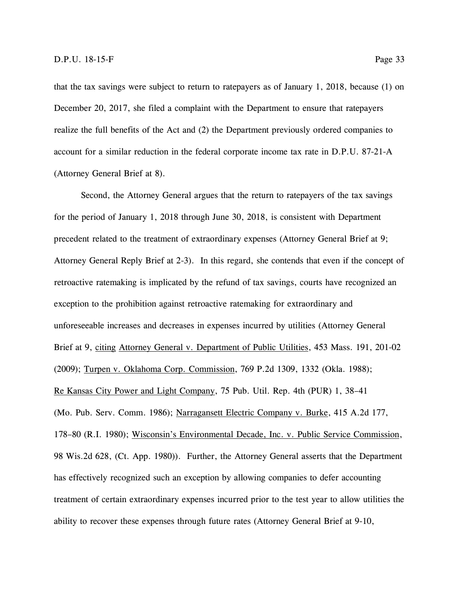that the tax savings were subject to return to ratepayers as of January 1, 2018, because (1) on December 20, 2017, she filed a complaint with the Department to ensure that ratepayers realize the full benefits of the Act and (2) the Department previously ordered companies to account for a similar reduction in the federal corporate income tax rate in D.P.U. 87-21-A (Attorney General Brief at 8).

Second, the Attorney General argues that the return to ratepayers of the tax savings for the period of January 1, 2018 through June 30, 2018, is consistent with Department precedent related to the treatment of extraordinary expenses (Attorney General Brief at 9; Attorney General Reply Brief at 2-3). In this regard, she contends that even if the concept of retroactive ratemaking is implicated by the refund of tax savings, courts have recognized an exception to the prohibition against retroactive ratemaking for extraordinary and unforeseeable increases and decreases in expenses incurred by utilities (Attorney General Brief at 9, citing Attorney General v. Department of Public Utilities, 453 Mass. 191, 201-02 (2009); Turpen v. Oklahoma Corp. Commission, 769 P.2d 1309, 1332 (Okla. 1988); Re Kansas City Power and Light Company, 75 Pub. Util. Rep. 4th (PUR) 1, 38–41 (Mo. Pub. Serv. Comm. 1986); Narragansett Electric Company v. Burke, 415 A.2d 177, 178–80 (R.I. 1980); Wisconsin's Environmental Decade, Inc. v. Public Service Commission, 98 Wis.2d 628, (Ct. App. 1980)). Further, the Attorney General asserts that the Department has effectively recognized such an exception by allowing companies to defer accounting treatment of certain extraordinary expenses incurred prior to the test year to allow utilities the ability to recover these expenses through future rates (Attorney General Brief at 9-10,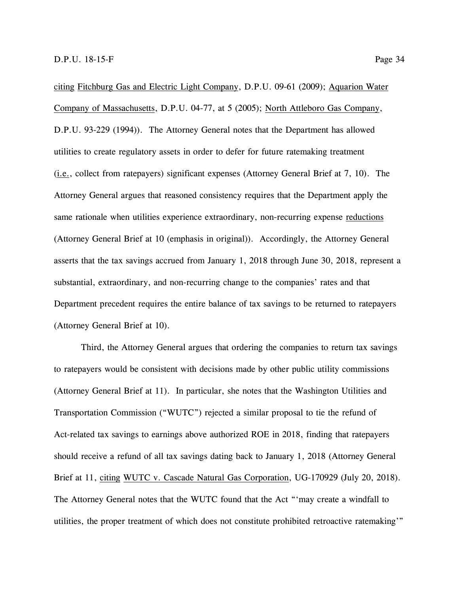citing Fitchburg Gas and Electric Light Company, D.P.U. 09-61 (2009); Aquarion Water Company of Massachusetts, D.P.U. 04-77, at 5 (2005); North Attleboro Gas Company, D.P.U. 93-229 (1994)). The Attorney General notes that the Department has allowed utilities to create regulatory assets in order to defer for future ratemaking treatment (i.e., collect from ratepayers) significant expenses (Attorney General Brief at 7, 10). The Attorney General argues that reasoned consistency requires that the Department apply the same rationale when utilities experience extraordinary, non-recurring expense reductions (Attorney General Brief at 10 (emphasis in original)). Accordingly, the Attorney General asserts that the tax savings accrued from January 1, 2018 through June 30, 2018, represent a substantial, extraordinary, and non-recurring change to the companies' rates and that Department precedent requires the entire balance of tax savings to be returned to ratepayers (Attorney General Brief at 10).

Third, the Attorney General argues that ordering the companies to return tax savings to ratepayers would be consistent with decisions made by other public utility commissions (Attorney General Brief at 11). In particular, she notes that the Washington Utilities and Transportation Commission ("WUTC") rejected a similar proposal to tie the refund of Act-related tax savings to earnings above authorized ROE in 2018, finding that ratepayers should receive a refund of all tax savings dating back to January 1, 2018 (Attorney General Brief at 11, citing WUTC v. Cascade Natural Gas Corporation, UG-170929 (July 20, 2018). The Attorney General notes that the WUTC found that the Act "'may create a windfall to utilities, the proper treatment of which does not constitute prohibited retroactive ratemaking'"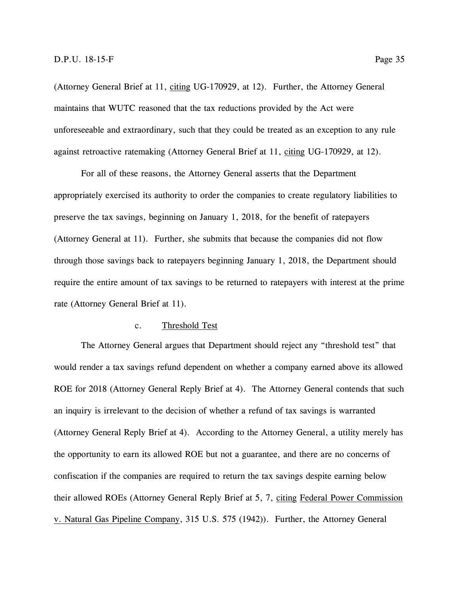(Attorney General Brief at 11, citing UG-170929, at 12). Further, the Attorney General maintains that WUTC reasoned that the tax reductions provided by the Act were unforeseeable and extraordinary, such that they could be treated as an exception to any rule against retroactive ratemaking (Attorney General Brief at 11, citing UG-170929, at 12).

For all of these reasons, the Attorney General asserts that the Department appropriately exercised its authority to order the companies to create regulatory liabilities to preserve the tax savings, beginning on January 1, 2018, for the benefit of ratepayers (Attorney General at 11). Further, she submits that because the companies did not flow through those savings back to ratepayers beginning January 1, 2018, the Department should require the entire amount of tax savings to be returned to ratepayers with interest at the prime rate (Attorney General Brief at 11).

#### c. Threshold Test

<span id="page-39-0"></span>The Attorney General argues that Department should reject any "threshold test" that would render a tax savings refund dependent on whether a company earned above its allowed ROE for 2018 (Attorney General Reply Brief at 4). The Attorney General contends that such an inquiry is irrelevant to the decision of whether a refund of tax savings is warranted (Attorney General Reply Brief at 4). According to the Attorney General, a utility merely has the opportunity to earn its allowed ROE but not a guarantee, and there are no concerns of confiscation if the companies are required to return the tax savings despite earning below their allowed ROEs (Attorney General Reply Brief at 5, 7, citing Federal Power Commission v. Natural Gas Pipeline Company, 315 U.S. 575 (1942)). Further, the Attorney General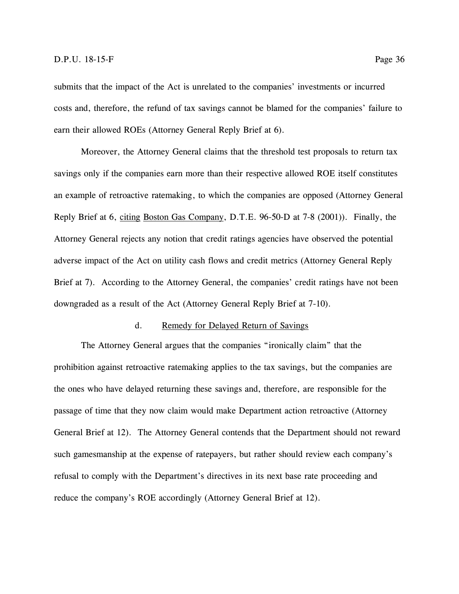submits that the impact of the Act is unrelated to the companies' investments or incurred costs and, therefore, the refund of tax savings cannot be blamed for the companies' failure to earn their allowed ROEs (Attorney General Reply Brief at 6).

Moreover, the Attorney General claims that the threshold test proposals to return tax savings only if the companies earn more than their respective allowed ROE itself constitutes an example of retroactive ratemaking, to which the companies are opposed (Attorney General Reply Brief at 6, citing Boston Gas Company, D.T.E. 96-50-D at 7-8 (2001)). Finally, the Attorney General rejects any notion that credit ratings agencies have observed the potential adverse impact of the Act on utility cash flows and credit metrics (Attorney General Reply Brief at 7). According to the Attorney General, the companies' credit ratings have not been downgraded as a result of the Act (Attorney General Reply Brief at 7-10).

#### d. Remedy for Delayed Return of Savings

<span id="page-40-0"></span>The Attorney General argues that the companies "ironically claim" that the prohibition against retroactive ratemaking applies to the tax savings, but the companies are the ones who have delayed returning these savings and, therefore, are responsible for the passage of time that they now claim would make Department action retroactive (Attorney General Brief at 12). The Attorney General contends that the Department should not reward such gamesmanship at the expense of ratepayers, but rather should review each company's refusal to comply with the Department's directives in its next base rate proceeding and reduce the company's ROE accordingly (Attorney General Brief at 12).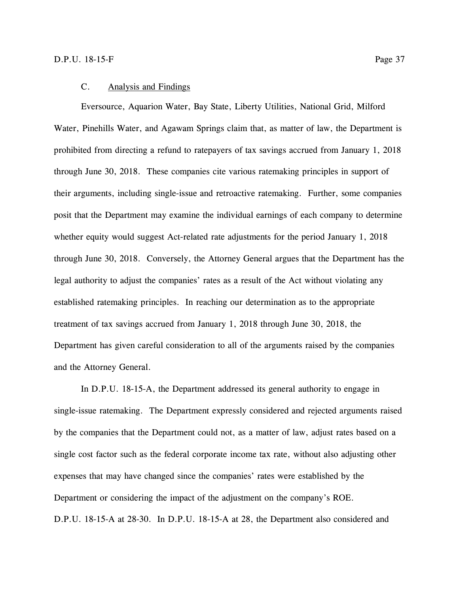#### C. Analysis and Findings

<span id="page-41-0"></span>Eversource, Aquarion Water, Bay State, Liberty Utilities, National Grid, Milford Water, Pinehills Water, and Agawam Springs claim that, as matter of law, the Department is prohibited from directing a refund to ratepayers of tax savings accrued from January 1, 2018 through June 30, 2018. These companies cite various ratemaking principles in support of their arguments, including single-issue and retroactive ratemaking. Further, some companies posit that the Department may examine the individual earnings of each company to determine whether equity would suggest Act-related rate adjustments for the period January 1, 2018 through June 30, 2018. Conversely, the Attorney General argues that the Department has the legal authority to adjust the companies' rates as a result of the Act without violating any established ratemaking principles. In reaching our determination as to the appropriate treatment of tax savings accrued from January 1, 2018 through June 30, 2018, the Department has given careful consideration to all of the arguments raised by the companies and the Attorney General.

In D.P.U. 18-15-A, the Department addressed its general authority to engage in single-issue ratemaking. The Department expressly considered and rejected arguments raised by the companies that the Department could not, as a matter of law, adjust rates based on a single cost factor such as the federal corporate income tax rate, without also adjusting other expenses that may have changed since the companies' rates were established by the Department or considering the impact of the adjustment on the company's ROE. D.P.U. 18-15-A at 28-30. In D.P.U. 18-15-A at 28, the Department also considered and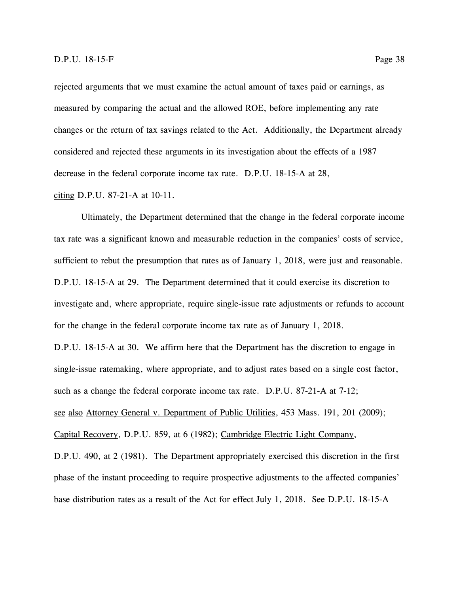rejected arguments that we must examine the actual amount of taxes paid or earnings, as measured by comparing the actual and the allowed ROE, before implementing any rate changes or the return of tax savings related to the Act. Additionally, the Department already considered and rejected these arguments in its investigation about the effects of a 1987 decrease in the federal corporate income tax rate. D.P.U. 18-15-A at 28,

citing D.P.U. 87-21-A at 10-11.

Ultimately, the Department determined that the change in the federal corporate income tax rate was a significant known and measurable reduction in the companies' costs of service, sufficient to rebut the presumption that rates as of January 1, 2018, were just and reasonable. D.P.U. 18-15-A at 29. The Department determined that it could exercise its discretion to investigate and, where appropriate, require single-issue rate adjustments or refunds to account for the change in the federal corporate income tax rate as of January 1, 2018.

D.P.U. 18-15-A at 30. We affirm here that the Department has the discretion to engage in single-issue ratemaking, where appropriate, and to adjust rates based on a single cost factor, such as a change the federal corporate income tax rate. D.P.U. 87-21-A at 7-12; see also Attorney General v. Department of Public Utilities, 453 Mass. 191, 201 (2009); Capital Recovery, D.P.U. 859, at 6 (1982); Cambridge Electric Light Company,

D.P.U. 490, at 2 (1981). The Department appropriately exercised this discretion in the first phase of the instant proceeding to require prospective adjustments to the affected companies' base distribution rates as a result of the Act for effect July 1, 2018. See D.P.U. 18-15-A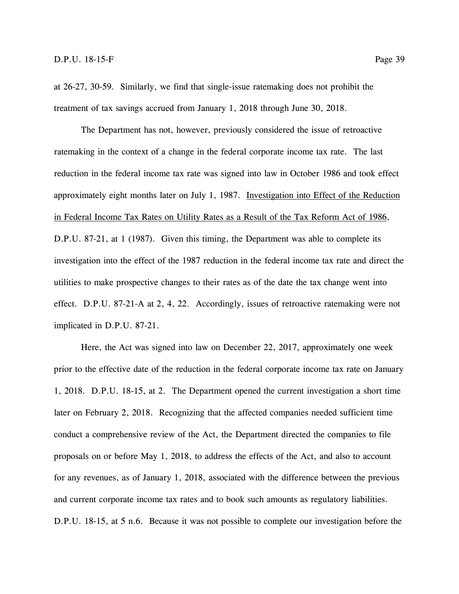at 26-27, 30-59. Similarly, we find that single-issue ratemaking does not prohibit the treatment of tax savings accrued from January 1, 2018 through June 30, 2018.

The Department has not, however, previously considered the issue of retroactive ratemaking in the context of a change in the federal corporate income tax rate. The last reduction in the federal income tax rate was signed into law in October 1986 and took effect approximately eight months later on July 1, 1987. Investigation into Effect of the Reduction in Federal Income Tax Rates on Utility Rates as a Result of the Tax Reform Act of 1986, D.P.U. 87-21, at 1 (1987). Given this timing, the Department was able to complete its investigation into the effect of the 1987 reduction in the federal income tax rate and direct the utilities to make prospective changes to their rates as of the date the tax change went into effect. D.P.U. 87-21-A at 2, 4, 22. Accordingly, issues of retroactive ratemaking were not implicated in D.P.U. 87-21.

Here, the Act was signed into law on December 22, 2017, approximately one week prior to the effective date of the reduction in the federal corporate income tax rate on January 1, 2018. D.P.U. 18-15, at 2. The Department opened the current investigation a short time later on February 2, 2018. Recognizing that the affected companies needed sufficient time conduct a comprehensive review of the Act, the Department directed the companies to file proposals on or before May 1, 2018, to address the effects of the Act, and also to account for any revenues, as of January 1, 2018, associated with the difference between the previous and current corporate income tax rates and to book such amounts as regulatory liabilities. D.P.U. 18-15, at 5 n.6. Because it was not possible to complete our investigation before the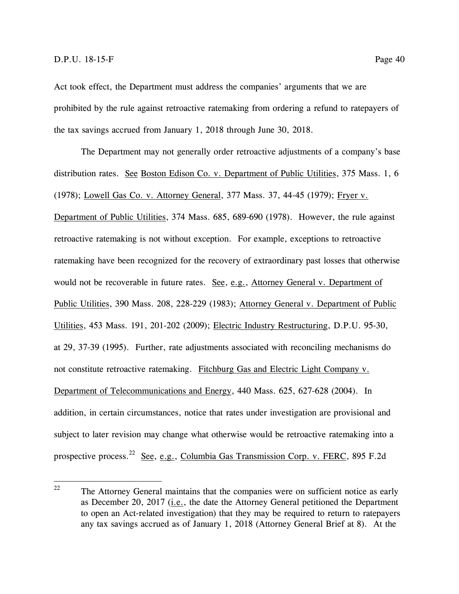Act took effect, the Department must address the companies' arguments that we are prohibited by the rule against retroactive ratemaking from ordering a refund to ratepayers of the tax savings accrued from January 1, 2018 through June 30, 2018.

The Department may not generally order retroactive adjustments of a company's base distribution rates. See Boston Edison Co. v. Department of Public Utilities, 375 Mass. 1, 6 (1978); Lowell Gas Co. v. Attorney General, 377 Mass. 37, 44-45 (1979); Fryer v. Department of Public Utilities, 374 Mass. 685, 689-690 (1978). However, the rule against retroactive ratemaking is not without exception. For example, exceptions to retroactive ratemaking have been recognized for the recovery of extraordinary past losses that otherwise would not be recoverable in future rates. See, e.g., Attorney General v. Department of Public Utilities, 390 Mass. 208, 228-229 (1983); Attorney General v. Department of Public Utilities, 453 Mass. 191, 201-202 (2009); Electric Industry Restructuring, D.P.U. 95-30, at 29, 37-39 (1995). Further, rate adjustments associated with reconciling mechanisms do not constitute retroactive ratemaking. Fitchburg Gas and Electric Light Company v. Department of Telecommunications and Energy, 440 Mass. 625, 627-628 (2004). In addition, in certain circumstances, notice that rates under investigation are provisional and subject to later revision may change what otherwise would be retroactive ratemaking into a prospective process.<sup>22</sup> See, e.g., Columbia Gas Transmission Corp. v. FERC, 895 F.2d

<sup>22</sup> The Attorney General maintains that the companies were on sufficient notice as early as December 20, 2017 (i.e., the date the Attorney General petitioned the Department to open an Act-related investigation) that they may be required to return to ratepayers any tax savings accrued as of January 1, 2018 (Attorney General Brief at 8). At the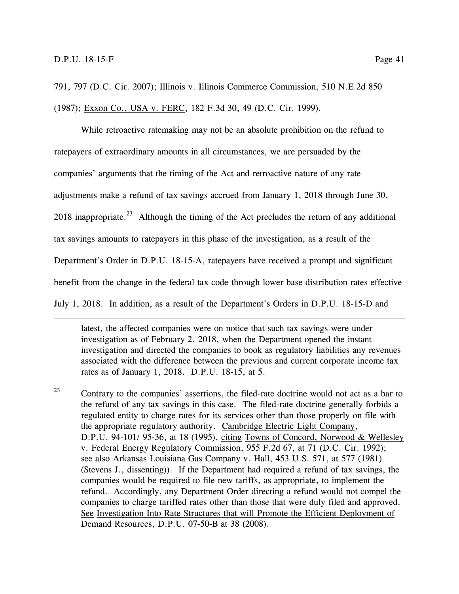$\overline{a}$ 

791, 797 (D.C. Cir. 2007); Illinois v. Illinois Commerce Commission, 510 N.E.2d 850 (1987); Exxon Co., USA v. FERC, 182 F.3d 30, 49 (D.C. Cir. 1999).

While retroactive ratemaking may not be an absolute prohibition on the refund to ratepayers of extraordinary amounts in all circumstances, we are persuaded by the companies' arguments that the timing of the Act and retroactive nature of any rate adjustments make a refund of tax savings accrued from January 1, 2018 through June 30, 2018 inappropriate.<sup>23</sup> Although the timing of the Act precludes the return of any additional tax savings amounts to ratepayers in this phase of the investigation, as a result of the Department's Order in D.P.U. 18-15-A, ratepayers have received a prompt and significant benefit from the change in the federal tax code through lower base distribution rates effective July 1, 2018. In addition, as a result of the Department's Orders in D.P.U. 18-15-D and

latest, the affected companies were on notice that such tax savings were under investigation as of February 2, 2018, when the Department opened the instant investigation and directed the companies to book as regulatory liabilities any revenues associated with the difference between the previous and current corporate income tax rates as of January 1, 2018. D.P.U. 18-15, at 5.

 $23$  Contrary to the companies' assertions, the filed-rate doctrine would not act as a bar to the refund of any tax savings in this case. The filed-rate doctrine generally forbids a regulated entity to charge rates for its services other than those properly on file with the appropriate regulatory authority. Cambridge Electric Light Company, D.P.U. 94-101/ 95-36, at 18 (1995), citing Towns of Concord, Norwood & Wellesley v. Federal Energy Regulatory Commission, 955 F.2d 67, at 71 (D.C. Cir. 1992); see also Arkansas Louisiana Gas Company v. Hall, 453 U.S. 571, at 577 (1981) (Stevens J., dissenting)). If the Department had required a refund of tax savings, the companies would be required to file new tariffs, as appropriate, to implement the refund. Accordingly, any Department Order directing a refund would not compel the companies to charge tariffed rates other than those that were duly filed and approved. See Investigation Into Rate Structures that will Promote the Efficient Deployment of Demand Resources, D.P.U. 07-50-B at 38 (2008).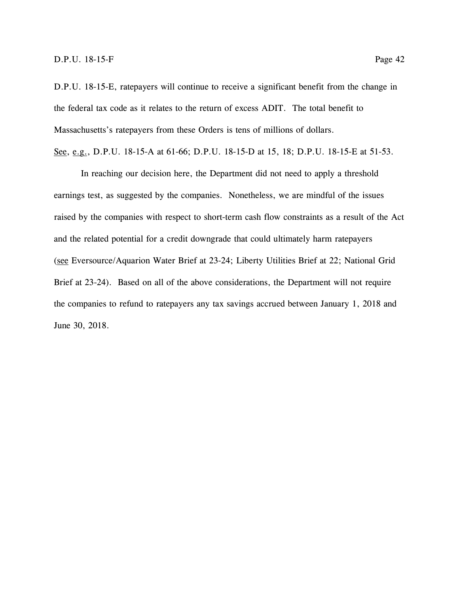D.P.U. 18-15-E, ratepayers will continue to receive a significant benefit from the change in the federal tax code as it relates to the return of excess ADIT. The total benefit to Massachusetts's ratepayers from these Orders is tens of millions of dollars.

See, e.g., D.P.U. 18-15-A at 61-66; D.P.U. 18-15-D at 15, 18; D.P.U. 18-15-E at 51-53.

In reaching our decision here, the Department did not need to apply a threshold earnings test, as suggested by the companies. Nonetheless, we are mindful of the issues raised by the companies with respect to short-term cash flow constraints as a result of the Act and the related potential for a credit downgrade that could ultimately harm ratepayers (see Eversource/Aquarion Water Brief at 23-24; Liberty Utilities Brief at 22; National Grid Brief at 23-24). Based on all of the above considerations, the Department will not require the companies to refund to ratepayers any tax savings accrued between January 1, 2018 and June 30, 2018.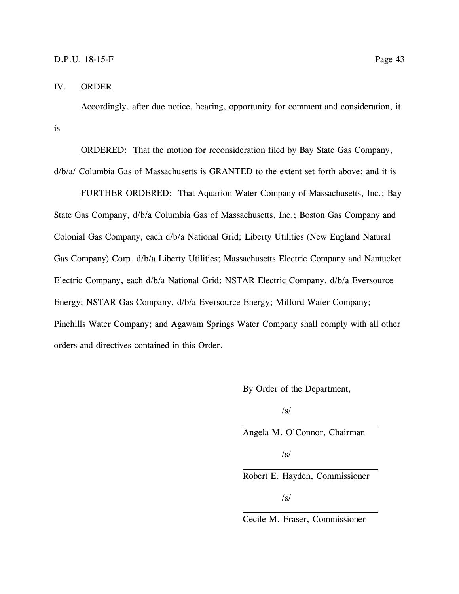#### <span id="page-47-0"></span>IV. ORDER

Accordingly, after due notice, hearing, opportunity for comment and consideration, it is

ORDERED: That the motion for reconsideration filed by Bay State Gas Company, d/b/a/ Columbia Gas of Massachusetts is GRANTED to the extent set forth above; and it is

FURTHER ORDERED: That Aquarion Water Company of Massachusetts, Inc.; Bay State Gas Company, d/b/a Columbia Gas of Massachusetts, Inc.; Boston Gas Company and Colonial Gas Company, each d/b/a National Grid; Liberty Utilities (New England Natural Gas Company) Corp. d/b/a Liberty Utilities; Massachusetts Electric Company and Nantucket Electric Company, each d/b/a National Grid; NSTAR Electric Company, d/b/a Eversource Energy; NSTAR Gas Company, d/b/a Eversource Energy; Milford Water Company; Pinehills Water Company; and Agawam Springs Water Company shall comply with all other orders and directives contained in this Order.

By Order of the Department,

 $\sqrt{s}$ 

Angela M. O'Connor, Chairman

/s/

Robert E. Hayden, Commissioner

/s/

Cecile M. Fraser, Commissioner